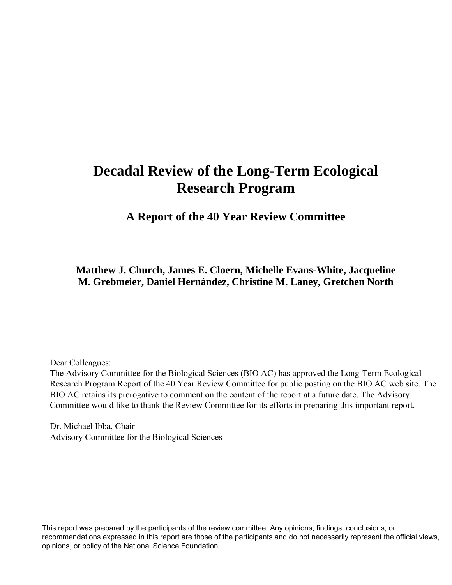# **Decadal Review of the Long-Term Ecological Research Program**

 **A Report of the 40 Year Review Committee** 

**Matthew J. Church, James E. Cloern, Michelle Evans-White, Jacqueline M. Grebmeier, Daniel Hernández, Christine M. Laney, Gretchen North** 

Dear Colleagues:

The Advisory Committee for the Biological Sciences (BIO AC) has approved the Long-Term Ecological Research Program Report of the 40 Year Review Committee for public posting on the BIO AC web site. The BIO AC retains its prerogative to comment on the content of the report at a future date. The Advisory Committee would like to thank the Review Committee for its efforts in preparing this important report.

Dr. Michael Ibba, Chair Advisory Committee for the Biological Sciences

This report was prepared by the participants of the review committee. Any opinions, findings, conclusions, or recommendations expressed in this report are those of the participants and do not necessarily represent the official views, opinions, or policy of the National Science Foundation.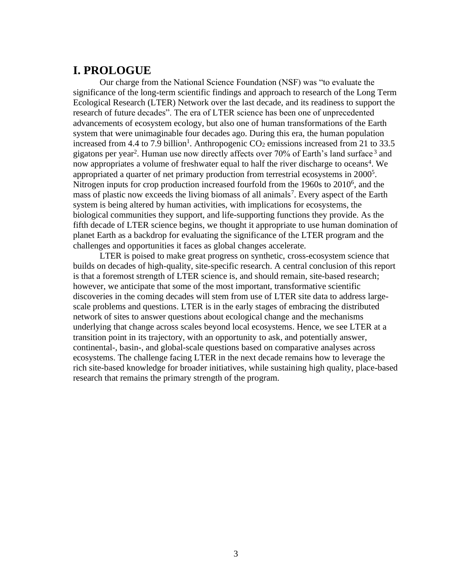## **I. PROLOGUE**

Our charge from the National Science Foundation (NSF) was "to evaluate the significance of the long-term scientific findings and approach to research of the Long Term Ecological Research (LTER) Network over the last decade, and its readiness to support the research of future decades". The era of LTER science has been one of unprecedented advancements of ecosystem ecology, but also one of human transformations of the Earth system that were unimaginable four decades ago. During this era, the human population increased from 4.4 to 7.9 billion<sup>1</sup>. Anthropogenic  $CO_2$  emissions increased from 21 to 33.5 gigatons per year2. Human use now directly affects over 70% of Earth's land surface 3 and now appropriates a volume of freshwater equal to half the river discharge to oceans<sup>4</sup>. We appropriated a quarter of net primary production from terrestrial ecosystems in 20005. Nitrogen inputs for crop production increased fourfold from the 1960s to 20106, and the mass of plastic now exceeds the living biomass of all animals<sup>7</sup>. Every aspect of the Earth system is being altered by human activities, with implications for ecosystems, the biological communities they support, and life-supporting functions they provide. As the fifth decade of LTER science begins, we thought it appropriate to use human domination of planet Earth as a backdrop for evaluating the significance of the LTER program and the challenges and opportunities it faces as global changes accelerate.

 network of sites to answer questions about ecological change and the mechanisms underlying that change across scales beyond local ecosystems. Hence, we see LTER at a LTER is poised to make great progress on synthetic, cross-ecosystem science that builds on decades of high-quality, site-specific research. A central conclusion of this report is that a foremost strength of LTER science is, and should remain, site-based research; however, we anticipate that some of the most important, transformative scientific discoveries in the coming decades will stem from use of LTER site data to address largescale problems and questions. LTER is in the early stages of embracing the distributed transition point in its trajectory, with an opportunity to ask, and potentially answer, continental-, basin-, and global-scale questions based on comparative analyses across ecosystems. The challenge facing LTER in the next decade remains how to leverage the rich site-based knowledge for broader initiatives, while sustaining high quality, place-based research that remains the primary strength of the program.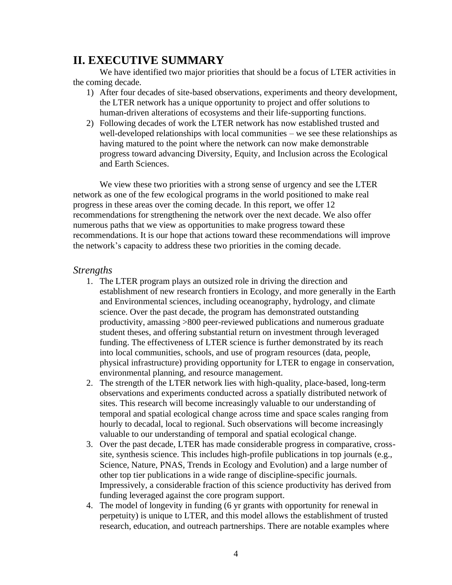## **II. EXECUTIVE SUMMARY**

We have identified two major priorities that should be a focus of LTER activities in the coming decade.

- 1) After four decades of site-based observations, experiments and theory development, the LTER network has a unique opportunity to project and offer solutions to human-driven alterations of ecosystems and their life-supporting functions.
- progress toward advancing Diversity, Equity, and Inclusion across the Ecological 2) Following decades of work the LTER network has now established trusted and well-developed relationships with local communities – we see these relationships as having matured to the point where the network can now make demonstrable and Earth Sciences.

We view these two priorities with a strong sense of urgency and see the LTER network as one of the few ecological programs in the world positioned to make real progress in these areas over the coming decade. In this report, we offer 12 recommendations for strengthening the network over the next decade. We also offer numerous paths that we view as opportunities to make progress toward these recommendations. It is our hope that actions toward these recommendations will improve the network's capacity to address these two priorities in the coming decade.

## *Strengths*

- 1. The LTER program plays an outsized role in driving the direction and establishment of new research frontiers in Ecology, and more generally in the Earth and Environmental sciences, including oceanography, hydrology, and climate science. Over the past decade, the program has demonstrated outstanding productivity, amassing >800 peer-reviewed publications and numerous graduate student theses, and offering substantial return on investment through leveraged funding. The effectiveness of LTER science is further demonstrated by its reach into local communities, schools, and use of program resources (data, people, physical infrastructure) providing opportunity for LTER to engage in conservation, environmental planning, and resource management.
- temporal and spatial ecological change across time and space scales ranging from 2. The strength of the LTER network lies with high-quality, place-based, long-term observations and experiments conducted across a spatially distributed network of sites. This research will become increasingly valuable to our understanding of hourly to decadal, local to regional. Such observations will become increasingly valuable to our understanding of temporal and spatial ecological change.
- 3. Over the past decade, LTER has made considerable progress in comparative, crosssite, synthesis science. This includes high-profile publications in top journals (e.g., Science, Nature, PNAS, Trends in Ecology and Evolution) and a large number of other top tier publications in a wide range of discipline-specific journals. Impressively, a considerable fraction of this science productivity has derived from funding leveraged against the core program support.
- 4. The model of longevity in funding (6 yr grants with opportunity for renewal in perpetuity) is unique to LTER, and this model allows the establishment of trusted research, education, and outreach partnerships. There are notable examples where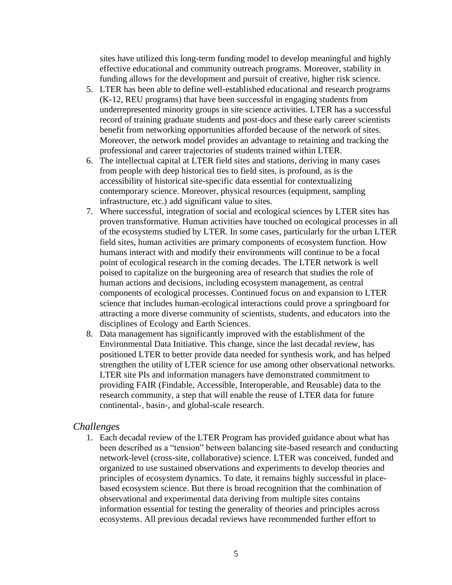sites have utilized this long-term funding model to develop meaningful and highly effective educational and community outreach programs. Moreover, stability in funding allows for the development and pursuit of creative, higher risk science.

- 5. LTER has been able to define well-established educational and research programs (K-12, REU programs) that have been successful in engaging students from underrepresented minority groups in site science activities. LTER has a successful record of training graduate students and post-docs and these early career scientists benefit from networking opportunities afforded because of the network of sites. Moreover, the network model provides an advantage to retaining and tracking the professional and career trajectories of students trained within LTER.
- 6. The intellectual capital at LTER field sites and stations, deriving in many cases from people with deep historical ties to field sites, is profound, as is the accessibility of historical site-specific data essential for contextualizing contemporary science. Moreover, physical resources (equipment, sampling infrastructure, etc.) add significant value to sites.
- science that includes human-ecological interactions could prove a springboard for 7. Where successful, integration of social and ecological sciences by LTER sites has proven transformative. Human activities have touched on ecological processes in all of the ecosystems studied by LTER. In some cases, particularly for the urban LTER field sites, human activities are primary components of ecosystem function. How humans interact with and modify their environments will continue to be a focal point of ecological research in the coming decades. The LTER network is well poised to capitalize on the burgeoning area of research that studies the role of human actions and decisions, including ecosystem management, as central components of ecological processes. Continued focus on and expansion to LTER attracting a more diverse community of scientists, students, and educators into the disciplines of Ecology and Earth Sciences.
- providing FAIR (Findable, Accessible, Interoperable, and Reusable) data to the 8. Data management has significantly improved with the establishment of the Environmental Data Initiative. This change, since the last decadal review, has positioned LTER to better provide data needed for synthesis work, and has helped strengthen the utility of LTER science for use among other observational networks. LTER site PIs and information managers have demonstrated commitment to research community, a step that will enable the reuse of LTER data for future continental-, basin-, and global-scale research.

## *Challenges*

1. Each decadal review of the LTER Program has provided guidance about what has been described as a "tension" between balancing site-based research and conducting network-level (cross-site, collaborative) science. LTER was conceived, funded and organized to use sustained observations and experiments to develop theories and principles of ecosystem dynamics. To date, it remains highly successful in placebased ecosystem science. But there is broad recognition that the combination of observational and experimental data deriving from multiple sites contains information essential for testing the generality of theories and principles across ecosystems. All previous decadal reviews have recommended further effort to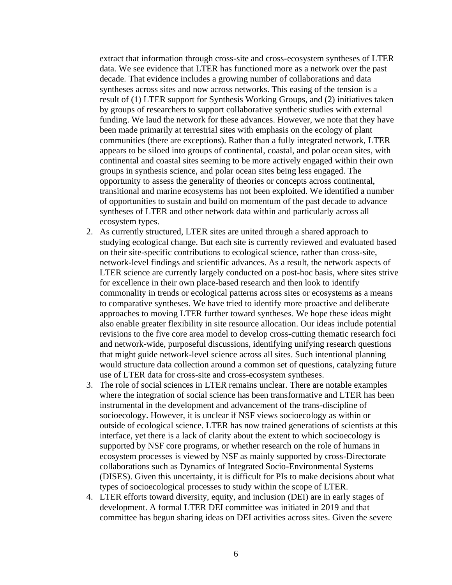data. We see evidence that LTER has functioned more as a network over the past of opportunities to sustain and build on momentum of the past decade to advance extract that information through cross-site and cross-ecosystem syntheses of LTER decade. That evidence includes a growing number of collaborations and data syntheses across sites and now across networks. This easing of the tension is a result of (1) LTER support for Synthesis Working Groups, and (2) initiatives taken by groups of researchers to support collaborative synthetic studies with external funding. We laud the network for these advances. However, we note that they have been made primarily at terrestrial sites with emphasis on the ecology of plant communities (there are exceptions). Rather than a fully integrated network, LTER appears to be siloed into groups of continental, coastal, and polar ocean sites, with continental and coastal sites seeming to be more actively engaged within their own groups in synthesis science, and polar ocean sites being less engaged. The opportunity to assess the generality of theories or concepts across continental, transitional and marine ecosystems has not been exploited. We identified a number syntheses of LTER and other network data within and particularly across all ecosystem types.

- approaches to moving LTER further toward syntheses. We hope these ideas might revisions to the five core area model to develop cross-cutting thematic research foci 2. As currently structured, LTER sites are united through a shared approach to studying ecological change. But each site is currently reviewed and evaluated based on their site-specific contributions to ecological science, rather than cross-site, network-level findings and scientific advances. As a result, the network aspects of LTER science are currently largely conducted on a post-hoc basis, where sites strive for excellence in their own place-based research and then look to identify commonality in trends or ecological patterns across sites or ecosystems as a means to comparative syntheses. We have tried to identify more proactive and deliberate also enable greater flexibility in site resource allocation. Our ideas include potential and network-wide, purposeful discussions, identifying unifying research questions that might guide network-level science across all sites. Such intentional planning would structure data collection around a common set of questions, catalyzing future use of LTER data for cross-site and cross-ecosystem syntheses.
- 3. The role of social sciences in LTER remains unclear. There are notable examples where the integration of social science has been transformative and LTER has been instrumental in the development and advancement of the trans-discipline of socioecology. However, it is unclear if NSF views socioecology as within or outside of ecological science. LTER has now trained generations of scientists at this interface, yet there is a lack of clarity about the extent to which socioecology is supported by NSF core programs, or whether research on the role of humans in ecosystem processes is viewed by NSF as mainly supported by cross-Directorate collaborations such as Dynamics of Integrated Socio-Environmental Systems (DISES). Given this uncertainty, it is difficult for PIs to make decisions about what types of socioecological processes to study within the scope of LTER.
- 4. LTER efforts toward diversity, equity, and inclusion (DEI) are in early stages of development. A formal LTER DEI committee was initiated in 2019 and that committee has begun sharing ideas on DEI activities across sites. Given the severe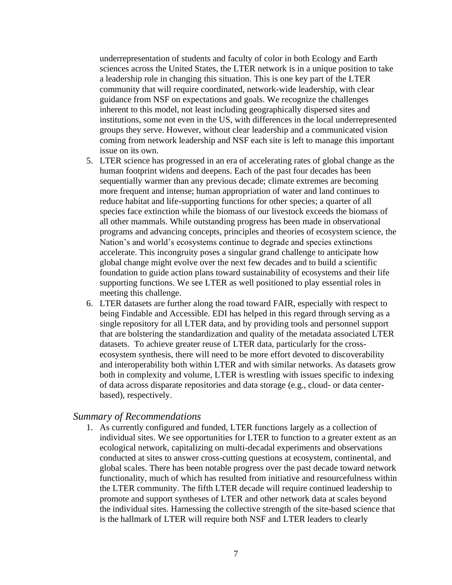guidance from NSF on expectations and goals. We recognize the challenges inherent to this model, not least including geographically dispersed sites and underrepresentation of students and faculty of color in both Ecology and Earth sciences across the United States, the LTER network is in a unique position to take a leadership role in changing this situation. This is one key part of the LTER community that will require coordinated, network-wide leadership, with clear institutions, some not even in the US, with differences in the local underrepresented groups they serve. However, without clear leadership and a communicated vision coming from network leadership and NSF each site is left to manage this important issue on its own.

- 5. LTER science has progressed in an era of accelerating rates of global change as the human footprint widens and deepens. Each of the past four decades has been sequentially warmer than any previous decade; climate extremes are becoming more frequent and intense; human appropriation of water and land continues to reduce habitat and life-supporting functions for other species; a quarter of all species face extinction while the biomass of our livestock exceeds the biomass of all other mammals. While outstanding progress has been made in observational programs and advancing concepts, principles and theories of ecosystem science, the Nation's and world's ecosystems continue to degrade and species extinctions accelerate. This incongruity poses a singular grand challenge to anticipate how global change might evolve over the next few decades and to build a scientific foundation to guide action plans toward sustainability of ecosystems and their life supporting functions. We see LTER as well positioned to play essential roles in meeting this challenge.
- ecosystem synthesis, there will need to be more effort devoted to discoverability 6. LTER datasets are further along the road toward FAIR, especially with respect to being Findable and Accessible. EDI has helped in this regard through serving as a single repository for all LTER data, and by providing tools and personnel support that are bolstering the standardization and quality of the metadata associated LTER datasets. To achieve greater reuse of LTER data, particularly for the crossand interoperability both within LTER and with similar networks. As datasets grow both in complexity and volume, LTER is wrestling with issues specific to indexing of data across disparate repositories and data storage (e.g., cloud- or data centerbased), respectively.

#### *Summary of Recommendations*

1. As currently configured and funded, LTER functions largely as a collection of individual sites. We see opportunities for LTER to function to a greater extent as an ecological network, capitalizing on multi-decadal experiments and observations conducted at sites to answer cross-cutting questions at ecosystem, continental, and global scales. There has been notable progress over the past decade toward network functionality, much of which has resulted from initiative and resourcefulness within the LTER community. The fifth LTER decade will require continued leadership to promote and support syntheses of LTER and other network data at scales beyond the individual sites. Harnessing the collective strength of the site-based science that is the hallmark of LTER will require both NSF and LTER leaders to clearly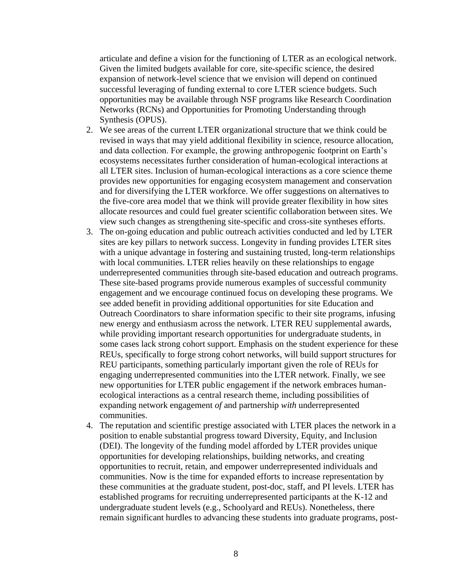opportunities may be available through NSF programs like Research Coordination articulate and define a vision for the functioning of LTER as an ecological network. Given the limited budgets available for core, site-specific science, the desired expansion of network-level science that we envision will depend on continued successful leveraging of funding external to core LTER science budgets. Such Networks (RCNs) and Opportunities for Promoting Understanding through Synthesis (OPUS).

- 2. We see areas of the current LTER organizational structure that we think could be revised in ways that may yield additional flexibility in science, resource allocation, and data collection. For example, the growing anthropogenic footprint on Earth's ecosystems necessitates further consideration of human-ecological interactions at all LTER sites. Inclusion of human-ecological interactions as a core science theme provides new opportunities for engaging ecosystem management and conservation and for diversifying the LTER workforce. We offer suggestions on alternatives to the five-core area model that we think will provide greater flexibility in how sites allocate resources and could fuel greater scientific collaboration between sites. We view such changes as strengthening site-specific and cross-site syntheses efforts.
- 3. The on-going education and public outreach activities conducted and led by LTER sites are key pillars to network success. Longevity in funding provides LTER sites with a unique advantage in fostering and sustaining trusted, long-term relationships with local communities. LTER relies heavily on these relationships to engage underrepresented communities through site-based education and outreach programs. These site-based programs provide numerous examples of successful community engagement and we encourage continued focus on developing these programs. We see added benefit in providing additional opportunities for site Education and Outreach Coordinators to share information specific to their site programs, infusing new energy and enthusiasm across the network. LTER REU supplemental awards, while providing important research opportunities for undergraduate students, in some cases lack strong cohort support. Emphasis on the student experience for these REUs, specifically to forge strong cohort networks, will build support structures for REU participants, something particularly important given the role of REUs for engaging underrepresented communities into the LTER network. Finally, we see new opportunities for LTER public engagement if the network embraces humanecological interactions as a central research theme, including possibilities of expanding network engagement *of* and partnership *with* underrepresented communities.
- 4. The reputation and scientific prestige associated with LTER places the network in a position to enable substantial progress toward Diversity, Equity, and Inclusion (DEI). The longevity of the funding model afforded by LTER provides unique opportunities for developing relationships, building networks, and creating opportunities to recruit, retain, and empower underrepresented individuals and communities. Now is the time for expanded efforts to increase representation by these communities at the graduate student, post-doc, staff, and PI levels. LTER has established programs for recruiting underrepresented participants at the K-12 and undergraduate student levels (e.g., Schoolyard and REUs). Nonetheless, there remain significant hurdles to advancing these students into graduate programs, post-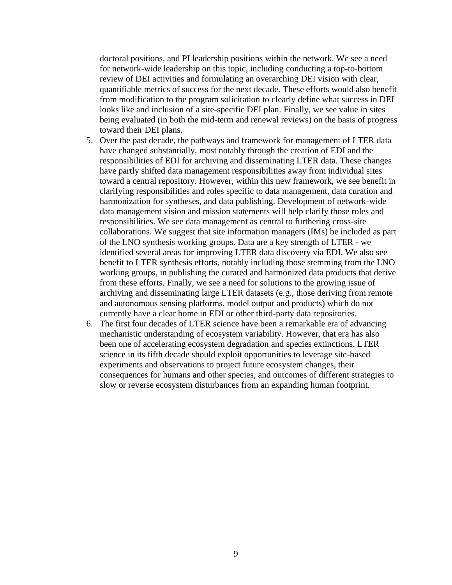doctoral positions, and PI leadership positions within the network. We see a need for network-wide leadership on this topic, including conducting a top-to-bottom review of DEI activities and formulating an overarching DEI vision with clear, quantifiable metrics of success for the next decade. These efforts would also benefit from modification to the program solicitation to clearly define what success in DEI looks like and inclusion of a site-specific DEI plan. Finally, we see value in sites being evaluated (in both the mid-term and renewal reviews) on the basis of progress toward their DEI plans.

- 5. Over the past decade, the pathways and framework for management of LTER data have changed substantially, most notably through the creation of EDI and the responsibilities of EDI for archiving and disseminating LTER data. These changes have partly shifted data management responsibilities away from individual sites toward a central repository. However, within this new framework, we see benefit in clarifying responsibilities and roles specific to data management, data curation and harmonization for syntheses, and data publishing. Development of network-wide data management vision and mission statements will help clarify those roles and responsibilities. We see data management as central to furthering cross-site collaborations. We suggest that site information managers (IMs) be included as part of the LNO synthesis working groups. Data are a key strength of LTER - we identified several areas for improving LTER data discovery via EDI. We also see benefit to LTER synthesis efforts, notably including those stemming from the LNO working groups, in publishing the curated and harmonized data products that derive from these efforts. Finally, we see a need for solutions to the growing issue of archiving and disseminating large LTER datasets (e.g., those deriving from remote and autonomous sensing platforms, model output and products) which do not currently have a clear home in EDI or other third-party data repositories.
- 6. The first four decades of LTER science have been a remarkable era of advancing mechanistic understanding of ecosystem variability. However, that era has also been one of accelerating ecosystem degradation and species extinctions. LTER science in its fifth decade should exploit opportunities to leverage site-based experiments and observations to project future ecosystem changes, their consequences for humans and other species, and outcomes of different strategies to slow or reverse ecosystem disturbances from an expanding human footprint.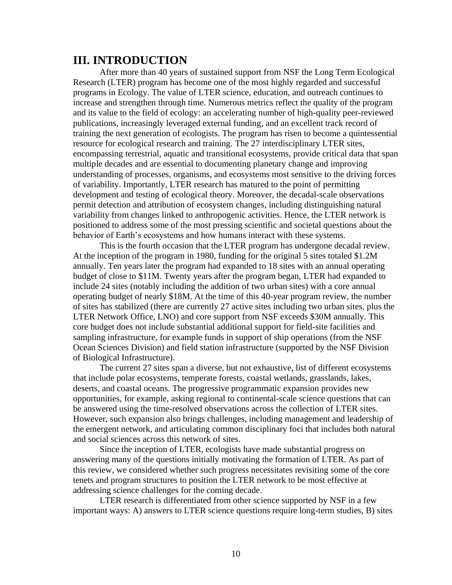## **III. INTRODUCTION**

 positioned to address some of the most pressing scientific and societal questions about the After more than 40 years of sustained support from NSF the Long Term Ecological Research (LTER) program has become one of the most highly regarded and successful programs in Ecology. The value of LTER science, education, and outreach continues to increase and strengthen through time. Numerous metrics reflect the quality of the program and its value to the field of ecology: an accelerating number of high-quality peer-reviewed publications, increasingly leveraged external funding, and an excellent track record of training the next generation of ecologists. The program has risen to become a quintessential resource for ecological research and training. The 27 interdisciplinary LTER sites, encompassing terrestrial, aquatic and transitional ecosystems, provide critical data that span multiple decades and are essential to documenting planetary change and improving understanding of processes, organisms, and ecosystems most sensitive to the driving forces of variability. Importantly, LTER research has matured to the point of permitting development and testing of ecological theory. Moreover, the decadal-scale observations permit detection and attribution of ecosystem changes, including distinguishing natural variability from changes linked to anthropogenic activities. Hence, the LTER network is behavior of Earth's ecosystems and how humans interact with these systems.

 include 24 sites (notably including the addition of two urban sites) with a core annual This is the fourth occasion that the LTER program has undergone decadal review. At the inception of the program in 1980, funding for the original 5 sites totaled \$1.2M annually. Ten years later the program had expanded to 18 sites with an annual operating budget of close to \$11M. Twenty years after the program began, LTER had expanded to operating budget of nearly \$18M. At the time of this 40-year program review, the number of sites has stabilized (there are currently 27 active sites including two urban sites, plus the LTER Network Office, LNO) and core support from NSF exceeds \$30M annually. This core budget does not include substantial additional support for field-site facilities and sampling infrastructure, for example funds in support of ship operations (from the NSF Ocean Sciences Division) and field station infrastructure (supported by the NSF Division of Biological Infrastructure).

 The current 27 sites span a diverse, but not exhaustive, list of different ecosystems that include polar ecosystems, temperate forests, coastal wetlands, grasslands, lakes, deserts, and coastal oceans. The progressive programmatic expansion provides new opportunities, for example, asking regional to continental-scale science questions that can be answered using the time-resolved observations across the collection of LTER sites. However, such expansion also brings challenges, including management and leadership of the emergent network, and articulating common disciplinary foci that includes both natural and social sciences across this network of sites.

 Since the inception of LTER, ecologists have made substantial progress on tenets and program structures to position the LTER network to be most effective at answering many of the questions initially motivating the formation of LTER. As part of this review, we considered whether such progress necessitates revisiting some of the core addressing science challenges for the coming decade.

LTER research is differentiated from other science supported by NSF in a few important ways: A) answers to LTER science questions require long-term studies, B) sites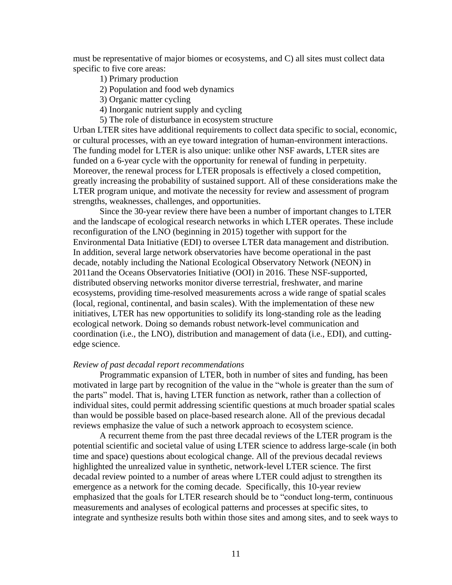specific to five core areas: must be representative of major biomes or ecosystems, and C) all sites must collect data

1) Primary production

2) Population and food web dynamics

3) Organic matter cycling

- 4) Inorganic nutrient supply and cycling
- 5) The role of disturbance in ecosystem structure

 greatly increasing the probability of sustained support. All of these considerations make the Urban LTER sites have additional requirements to collect data specific to social, economic, or cultural processes, with an eye toward integration of human-environment interactions. The funding model for LTER is also unique: unlike other NSF awards, LTER sites are funded on a 6-year cycle with the opportunity for renewal of funding in perpetuity. Moreover, the renewal process for LTER proposals is effectively a closed competition, LTER program unique, and motivate the necessity for review and assessment of program strengths, weaknesses, challenges, and opportunities.

 initiatives, LTER has new opportunities to solidify its long-standing role as the leading Since the 30-year review there have been a number of important changes to LTER and the landscape of ecological research networks in which LTER operates. These include reconfiguration of the LNO (beginning in 2015) together with support for the Environmental Data Initiative (EDI) to oversee LTER data management and distribution. In addition, several large network observatories have become operational in the past decade, notably including the National Ecological Observatory Network (NEON) in 2011and the Oceans Observatories Initiative (OOI) in 2016. These NSF-supported, distributed observing networks monitor diverse terrestrial, freshwater, and marine ecosystems, providing time-resolved measurements across a wide range of spatial scales (local, regional, continental, and basin scales). With the implementation of these new ecological network. Doing so demands robust network-level communication and coordination (i.e., the LNO), distribution and management of data (i.e., EDI), and cuttingedge science.

#### *Review of past decadal report recommendations*

Programmatic expansion of LTER, both in number of sites and funding, has been motivated in large part by recognition of the value in the "whole is greater than the sum of the parts" model. That is, having LTER function as network, rather than a collection of individual sites, could permit addressing scientific questions at much broader spatial scales than would be possible based on place-based research alone. All of the previous decadal reviews emphasize the value of such a network approach to ecosystem science.

 A recurrent theme from the past three decadal reviews of the LTER program is the potential scientific and societal value of using LTER science to address large-scale (in both time and space) questions about ecological change. All of the previous decadal reviews highlighted the unrealized value in synthetic, network-level LTER science. The first decadal review pointed to a number of areas where LTER could adjust to strengthen its emergence as a network for the coming decade. Specifically, this 10-year review emphasized that the goals for LTER research should be to "conduct long-term, continuous measurements and analyses of ecological patterns and processes at specific sites, to integrate and synthesize results both within those sites and among sites, and to seek ways to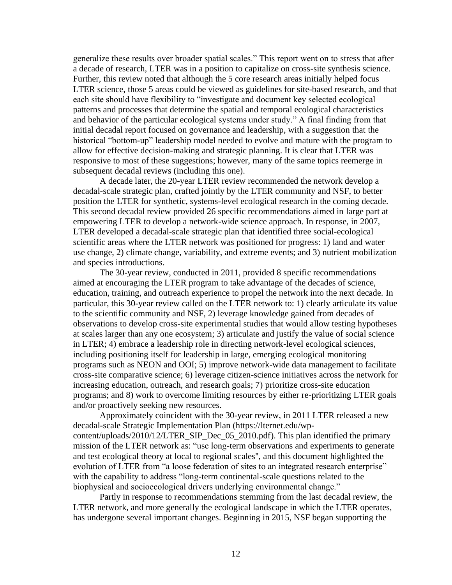generalize these results over broader spatial scales." This report went on to stress that after a decade of research, LTER was in a position to capitalize on cross-site synthesis science. Further, this review noted that al a decade of research, LTER was in a position to capitalize on cross-site synthesis science. Further, this review noted that although the 5 core research areas initially helped focus LTER science, those 5 areas could be viewed as guidelines for site-based research, and that each site should have flexibility to "investigate and document key selected ecological patterns and processes that determine the spatial and temporal ecological characteristics initial decadal report focused on governance and leadership, with a suggestion that the historical "bottom-up" leadership model needed to evolve and mature with the program to allow for effective decision-making and strategic planning. It is clear that LTER was responsive to most of these suggestions; however, many of the same topics reemerge in subsequent decadal reviews (including this one).

A decade later, the 20-year LTER review recommended the network develop a decadal-scale strategic plan, crafted jointly by the LTER community and NSF, to better position the LTER for synthetic, systems-level ecological research in the coming decade. This second decadal review provided 26 specific recommendations aimed in large part at empowering LTER to develop a network-wide science approach. In response, in 2007, LTER developed a decadal-scale strategic plan that identified three social-ecological scientific areas where the LTER network was positioned for progress: 1) land and water use change, 2) climate change, variability, and extreme events; and 3) nutrient mobilization and species introductions.

 programs such as NEON and OOI; 5) improve network-wide data management to facilitate The 30-year review, conducted in 2011, provided 8 specific recommendations aimed at encouraging the LTER program to take advantage of the decades of science, education, training, and outreach experience to propel the network into the next decade. In particular, this 30-year review called on the LTER network to: 1) clearly articulate its value to the scientific community and NSF, 2) leverage knowledge gained from decades of observations to develop cross-site experimental studies that would allow testing hypotheses at scales larger than any one ecosystem; 3) articulate and justify the value of social science in LTER; 4) embrace a leadership role in directing network-level ecological sciences, including positioning itself for leadership in large, emerging ecological monitoring cross-site comparative science; 6) leverage citizen-science initiatives across the network for increasing education, outreach, and research goals; 7) prioritize cross-site education programs; and 8) work to overcome limiting resources by either re-prioritizing LTER goals and/or proactively seeking new resources.

 and test ecological theory at local to regional scales'', and this document highlighted the Approximately coincident with the 30-year review, in 2011 LTER released a new decadal-scale Strategic Implementation Plan [\(https://lternet.edu/wp](https://lternet.edu/wp)content/uploads/2010/12/LTER\_SIP\_Dec\_05\_2010.pdf). This plan identified the primary mission of the LTER network as: "use long-term observations and experiments to generate evolution of LTER from "a loose federation of sites to an integrated research enterprise" with the capability to address "long-term continental-scale questions related to the biophysical and socioecological drivers underlying environmental change."

Partly in response to recommendations stemming from the last decadal review, the LTER network, and more generally the ecological landscape in which the LTER operates, has undergone several important changes. Beginning in 2015, NSF began supporting the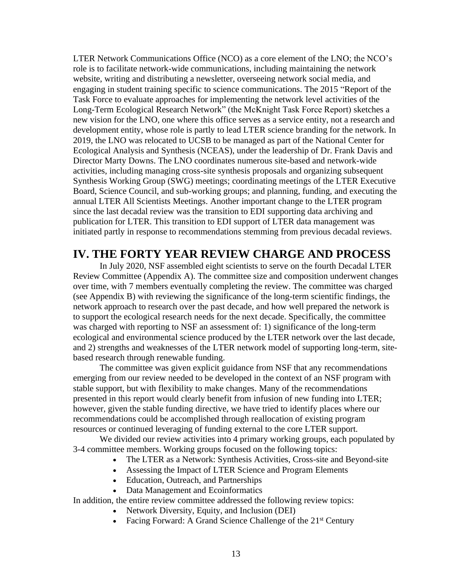Long-Term Ecological Research Network" (the McKnight Task Force Report) sketches a LTER Network Communications Office (NCO) as a core element of the LNO; the NCO's role is to facilitate network-wide communications, including maintaining the network website, writing and distributing a newsletter, overseeing network social media, and engaging in student training specific to science communications. The 2015 "Report of the Task Force to evaluate approaches for implementing the network level activities of the new vision for the LNO, one where this office serves as a service entity, not a research and development entity, whose role is partly to lead LTER science branding for the network. In 2019, the LNO was relocated to UCSB to be managed as part of the National Center for Ecological Analysis and Synthesis (NCEAS), under the leadership of Dr. Frank Davis and Director Marty Downs. The LNO coordinates numerous site-based and network-wide activities, including managing cross-site synthesis proposals and organizing subsequent Synthesis Working Group (SWG) meetings; coordinating meetings of the LTER Executive Board, Science Council, and sub-working groups; and planning, funding, and executing the annual LTER All Scientists Meetings. Another important change to the LTER program since the last decadal review was the transition to EDI supporting data archiving and publication for LTER. This transition to EDI support of LTER data management was initiated partly in response to recommendations stemming from previous decadal reviews.

## **IV. THE FORTY YEAR REVIEW CHARGE AND PROCESS**

In July 2020, NSF assembled eight scientists to serve on the fourth Decadal LTER Review Committee (Appendix A). The committee size and composition underwent changes over time, with 7 members eventually completing the review. The committee was charged (see Appendix B) with reviewing the significance of the long-term scientific findings, the network approach to research over the past decade, and how well prepared the network is to support the ecological research needs for the next decade. Specifically, the committee was charged with reporting to NSF an assessment of: 1) significance of the long-term ecological and environmental science produced by the LTER network over the last decade, and 2) strengths and weaknesses of the LTER network model of supporting long-term, sitebased research through renewable funding.

 resources or continued leveraging of funding external to the core LTER support. The committee was given explicit guidance from NSF that any recommendations emerging from our review needed to be developed in the context of an NSF program with stable support, but with flexibility to make changes. Many of the recommendations presented in this report would clearly benefit from infusion of new funding into LTER; however, given the stable funding directive, we have tried to identify places where our recommendations could be accomplished through reallocation of existing program

We divided our review activities into 4 primary working groups, each populated by 3-4 committee members. Working groups focused on the following topics:

- The LTER as a Network: Synthesis Activities, Cross-site and Beyond-site
- Assessing the Impact of LTER Science and Program Elements
- Education, Outreach, and Partnerships
- Data Management and Ecoinformatics

In addition, the entire review committee addressed the following review topics:

- Network Diversity, Equity, and Inclusion (DEI)
- Facing Forward: A Grand Science Challenge of the  $21<sup>st</sup>$  Century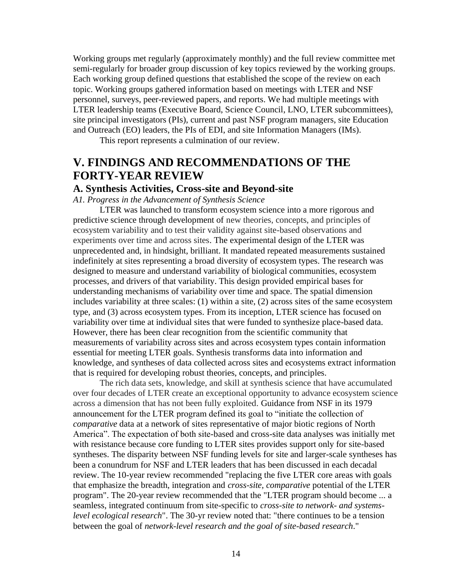Working groups met regularly (approximately monthly) and the full review committee met semi-regularly for broader group discussion of key topics reviewed by the working groups. Each working group defined questions that established the scope of the review on each topic. Working groups gathered information based on meetings with LTER and NSF personnel, surveys, peer-reviewed papers, and reports. We had multiple meetings with LTER leadership teams (Executive Board, Science Council, LNO, LTER subcommittees), site principal investigators (PIs), current and past NSF program managers, site Education and Outreach (EO) leaders, the PIs of EDI, and site Information Managers (IMs).

This report represents a culmination of our review.

## **V. FINDINGS AND RECOMMENDATIONS OF THE FORTY-YEAR REVIEW**

## **A. Synthesis Activities, Cross-site and Beyond-site**

*A1. Progress in the Advancement of Synthesis Science* 

 experiments over time and across sites. The experimental design of the LTER was LTER was launched to transform ecosystem science into a more rigorous and predictive science through development of new theories, concepts, and principles of ecosystem variability and to test their validity against site-based observations and unprecedented and, in hindsight, brilliant. It mandated repeated measurements sustained indefinitely at sites representing a broad diversity of ecosystem types. The research was designed to measure and understand variability of biological communities, ecosystem processes, and drivers of that variability. This design provided empirical bases for understanding mechanisms of variability over time and space. The spatial dimension includes variability at three scales: (1) within a site, (2) across sites of the same ecosystem type, and (3) across ecosystem types. From its inception, LTER science has focused on variability over time at individual sites that were funded to synthesize place-based data. However, there has been clear recognition from the scientific community that measurements of variability across sites and across ecosystem types contain information essential for meeting LTER goals. Synthesis transforms data into information and knowledge, and syntheses of data collected across sites and ecosystems extract information that is required for developing robust theories, concepts, and principles.

The rich data sets, knowledge, and skill at synthesis science that have accumulated over four decades of LTER create an exceptional opportunity to advance ecosystem science across a dimension that has not been fully exploited. Guidance from NSF in its 1979 announcement for the LTER program defined its goal to "initiate the collection of *comparative* data at a network of sites representative of major biotic regions of North America". The expectation of both site-based and cross-site data analyses was initially met with resistance because core funding to LTER sites provides support only for site-based syntheses. The disparity between NSF funding levels for site and larger-scale syntheses has been a conundrum for NSF and LTER leaders that has been discussed in each decadal review. The 10-year review recommended "replacing the five LTER core areas with goals that emphasize the breadth, integration and *cross-site, comparative* potential of the LTER program". The 20-year review recommended that the "LTER program should become ... a seamless, integrated continuum from site-specific to *cross-site to network- and systemslevel ecological research*". The 30-yr review noted that: "there continues to be a tension between the goal of *network-level research and the goal of site-based research*."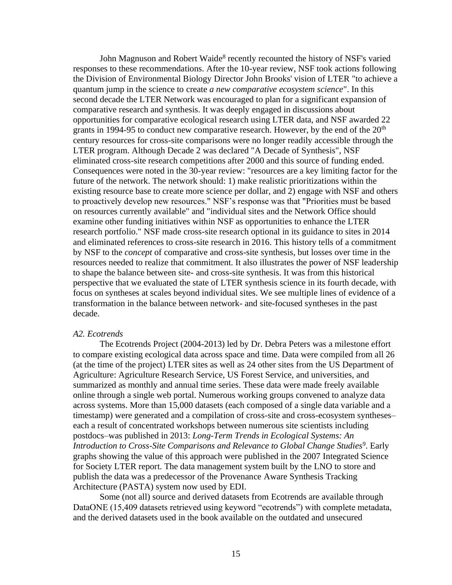century resources for cross-site comparisons were no longer readily accessible through the existing resource base to create more science per dollar, and 2) engage with NSF and others resources needed to realize that commitment. It also illustrates the power of NSF leadership John Magnuson and Robert Waide<sup>8</sup> recently recounted the history of NSF's varied responses to these recommendations. After the 10-year review, NSF took actions following the Division of Environmental Biology Director John Brooks' vision of LTER "to achieve a quantum jump in the science to create *a new comparative ecosystem science*". In this second decade the LTER Network was encouraged to plan for a significant expansion of comparative research and synthesis. It was deeply engaged in discussions about opportunities for comparative ecological research using LTER data, and NSF awarded 22 grants in 1994-95 to conduct new comparative research. However, by the end of the  $20<sup>th</sup>$ LTER program. Although Decade 2 was declared "A Decade of Synthesis", NSF eliminated cross-site research competitions after 2000 and this source of funding ended. Consequences were noted in the 30-year review: "resources are a key limiting factor for the future of the network. The network should: 1) make realistic prioritizations within the to proactively develop new resources." NSF's response was that "Priorities must be based on resources currently available" and "individual sites and the Network Office should examine other funding initiatives within NSF as opportunities to enhance the LTER research portfolio." NSF made cross-site research optional in its guidance to sites in 2014 and eliminated references to cross-site research in 2016. This history tells of a commitment by NSF to the *concept* of comparative and cross-site synthesis, but losses over time in the to shape the balance between site- and cross-site synthesis. It was from this historical perspective that we evaluated the state of LTER synthesis science in its fourth decade, with focus on syntheses at scales beyond individual sites. We see multiple lines of evidence of a transformation in the balance between network- and site-focused syntheses in the past decade.

#### *A2. Ecotrends*

 (at the time of the project) LTER sites as well as 24 other sites from the US Department of The Ecotrends Project (2004-2013) led by Dr. Debra Peters was a milestone effort to compare existing ecological data across space and time. Data were compiled from all 26 Agriculture: Agriculture Research Service, US Forest Service, and universities, and summarized as monthly and annual time series. These data were made freely available online through a single web portal. Numerous working groups convened to analyze data across systems. More than 15,000 datasets (each composed of a single data variable and a timestamp) were generated and a compilation of cross-site and cross-ecosystem syntheses– each a result of concentrated workshops between numerous site scientists including postdocs–was published in 2013: *Long-Term Trends in Ecological Systems: An Introduction to Cross-Site Comparisons and Relevance to Global Change Studies*<sup>9</sup>. Early graphs showing the value of this approach were published in the 2007 Integrated Science for Society LTER report. The data management system built by the LNO to store and publish the data was a predecessor of the Provenance Aware Synthesis Tracking Architecture (PASTA) system now used by EDI.

Some (not all) source and derived datasets from Ecotrends are available through DataONE (15,409 datasets retrieved using keyword "ecotrends") with complete metadata, and the derived datasets used in the book available on the outdated and unsecured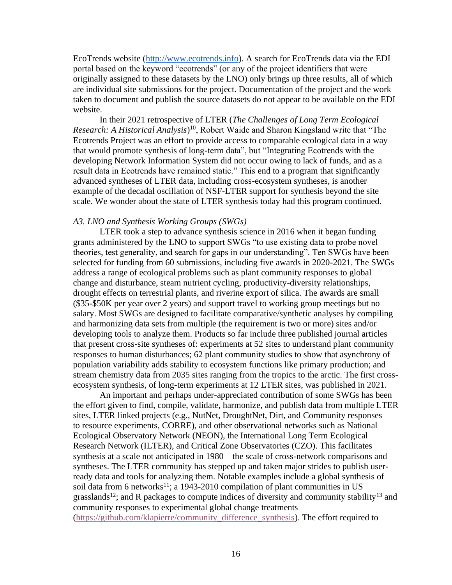EcoTrends website [\(http://www.ecotrends.info\)](http://www.ecotrends.info/). A search for EcoTrends data via the EDI portal based on the keyword "ecotrends" (or any of the project identifiers that were originally assigned to these datasets by the LNO) only brings up three results, all of which are individual site submissions for the project. Documentation of the project and the work taken to document and publish the source datasets do not appear to be available on the EDI website.

 Ecotrends Project was an effort to provide access to comparable ecological data in a way In their 2021 retrospective of LTER (*The Challenges of Long Term Ecological Research: A Historical Analysis*) 10, Robert Waide and Sharon Kingsland write that "The that would promote synthesis of long-term data", but "Integrating Ecotrends with the developing Network Information System did not occur owing to lack of funds, and as a result data in Ecotrends have remained static." This end to a program that significantly advanced syntheses of LTER data, including cross-ecosystem syntheses, is another example of the decadal oscillation of NSF-LTER support for synthesis beyond the site scale. We wonder about the state of LTER synthesis today had this program continued.

#### *A3. LNO and Synthesis Working Groups (SWGs)*

 (\$35-\$50K per year over 2 years) and support travel to working group meetings but no LTER took a step to advance synthesis science in 2016 when it began funding grants administered by the LNO to support SWGs "to use existing data to probe novel theories, test generality, and search for gaps in our understanding". Ten SWGs have been selected for funding from 60 submissions, including five awards in 2020-2021. The SWGs address a range of ecological problems such as plant community responses to global change and disturbance, steam nutrient cycling, productivity-diversity relationships, drought effects on terrestrial plants, and riverine export of silica. The awards are small salary. Most SWGs are designed to facilitate comparative/synthetic analyses by compiling and harmonizing data sets from multiple (the requirement is two or more) sites and/or developing tools to analyze them. Products so far include three published journal articles that present cross-site syntheses of: experiments at 52 sites to understand plant community responses to human disturbances; 62 plant community studies to show that asynchrony of population variability adds stability to ecosystem functions like primary production; and stream chemistry data from 2035 sites ranging from the tropics to the arctic. The first crossecosystem synthesis, of long-term experiments at 12 LTER sites, was published in 2021.

 community responses to experimental global change treatments An important and perhaps under-appreciated contribution of some SWGs has been the effort given to find, compile, validate, harmonize, and publish data from multiple LTER sites, LTER linked projects (e.g., NutNet, DroughtNet, Dirt, and Community responses to resource experiments, CORRE), and other observational networks such as National Ecological Observatory Network (NEON), the International Long Term Ecological Research Network (ILTER), and Critical Zone Observatories (CZO). This facilitates synthesis at a scale not anticipated in 1980 – the scale of cross-network comparisons and syntheses. The LTER community has stepped up and taken major strides to publish userready data and tools for analyzing them. Notable examples include a global synthesis of soil data from 6 networks<sup>11</sup>; a 1943-2010 compilation of plant communities in US grasslands<sup>12</sup>; and R packages to compute indices of diversity and community stability<sup>13</sup> and [\(https://github.com/klapierre/community\\_difference\\_synthesis\)](https://github.com/klapierre/community_difference_synthesis). The effort required to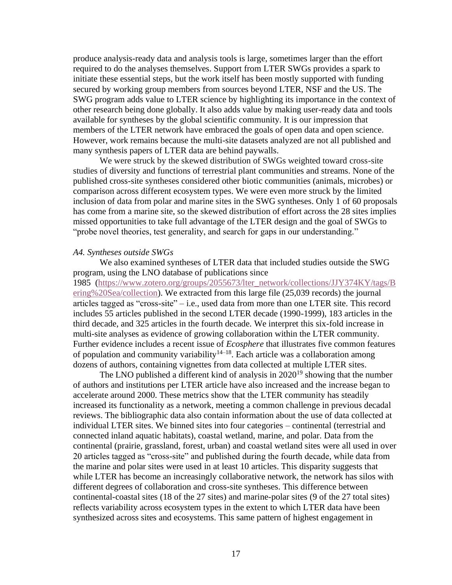SWG program adds value to LTER science by highlighting its importance in the context of other research being done globally. It also adds value by making user-ready data and tools produce analysis-ready data and analysis tools is large, sometimes larger than the effort required to do the analyses themselves. Support from LTER SWGs provides a spark to initiate these essential steps, but the work itself has been mostly supported with funding secured by working group members from sources beyond LTER, NSF and the US. The available for syntheses by the global scientific community. It is our impression that members of the LTER network have embraced the goals of open data and open science. However, work remains because the multi-site datasets analyzed are not all published and many synthesis papers of LTER data are behind paywalls.

We were struck by the skewed distribution of SWGs weighted toward cross-site studies of diversity and functions of terrestrial plant communities and streams. None of the published cross-site syntheses considered other biotic communities (animals, microbes) or comparison across different ecosystem types. We were even more struck by the limited inclusion of data from polar and marine sites in the SWG syntheses. Only 1 of 60 proposals has come from a marine site, so the skewed distribution of effort across the 28 sites implies missed opportunities to take full advantage of the LTER design and the goal of SWGs to "probe novel theories, test generality, and search for gaps in our understanding."

#### *A4. Syntheses outside SWGs*

 We also examined syntheses of LTER data that included studies outside the SWG program, using the LNO database of publications since

 dozens of authors, containing vignettes from data collected at multiple LTER sites. 1985 [\(https://www.zotero.org/groups/2055673/lter\\_network/collections/JJY374KY/tags/B](https://www.zotero.org/groups/2055673/lter_network/collections/JJY374KY/tags/Bering%20Sea/collection)  [ering%20Sea/collection\)](https://www.zotero.org/groups/2055673/lter_network/collections/JJY374KY/tags/Bering%20Sea/collection). We extracted from this large file (25,039 records) the journal articles tagged as "cross-site" – i.e., used data from more than one LTER site. This record includes 55 articles published in the second LTER decade (1990-1999), 183 articles in the third decade, and 325 articles in the fourth decade. We interpret this six-fold increase in multi-site analyses as evidence of growing collaboration within the LTER community. Further evidence includes a recent issue of *Ecosphere* that illustrates five common features of population and community variability<sup>14–18</sup>. Each article was a collaboration among

 accelerate around 2000. These metrics show that the LTER community has steadily The LNO published a different kind of analysis in  $2020^{19}$  showing that the number of authors and institutions per LTER article have also increased and the increase began to increased its functionality as a network, meeting a common challenge in previous decadal reviews. The bibliographic data also contain information about the use of data collected at individual LTER sites. We binned sites into four categories – continental (terrestrial and connected inland aquatic habitats), coastal wetland, marine, and polar. Data from the continental (prairie, grassland, forest, urban) and coastal wetland sites were all used in over 20 articles tagged as "cross-site" and published during the fourth decade, while data from the marine and polar sites were used in at least 10 articles. This disparity suggests that while LTER has become an increasingly collaborative network, the network has silos with different degrees of collaboration and cross-site syntheses. This difference between continental-coastal sites (18 of the 27 sites) and marine-polar sites (9 of the 27 total sites) reflects variability across ecosystem types in the extent to which LTER data have been synthesized across sites and ecosystems. This same pattern of highest engagement in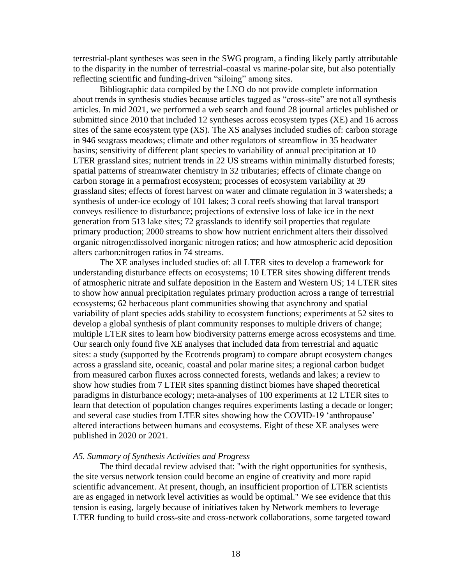terrestrial-plant syntheses was seen in the SWG program, a finding likely partly attributable to the disparity in the number of terrestrial-coastal vs marine-polar site, but also potentially reflecting scientific and funding-driven "siloing" among sites.

 synthesis of under-ice ecology of 101 lakes; 3 coral reefs showing that larval transport Bibliographic data compiled by the LNO do not provide complete information about trends in synthesis studies because articles tagged as "cross-site" are not all synthesis articles. In mid 2021, we performed a web search and found 28 journal articles published or submitted since 2010 that included 12 syntheses across ecosystem types (XE) and 16 across sites of the same ecosystem type (XS). The XS analyses included studies of: carbon storage in 946 seagrass meadows; climate and other regulators of streamflow in 35 headwater basins; sensitivity of different plant species to variability of annual precipitation at 10 LTER grassland sites; nutrient trends in 22 US streams within minimally disturbed forests; spatial patterns of streamwater chemistry in 32 tributaries; effects of climate change on carbon storage in a permafrost ecosystem; processes of ecosystem variability at 39 grassland sites; effects of forest harvest on water and climate regulation in 3 watersheds; a conveys resilience to disturbance; projections of extensive loss of lake ice in the next generation from 513 lake sites; 72 grasslands to identify soil properties that regulate primary production; 2000 streams to show how nutrient enrichment alters their dissolved organic nitrogen:dissolved inorganic nitrogen ratios; and how atmospheric acid deposition alters carbon:nitrogen ratios in 74 streams.

 understanding disturbance effects on ecosystems; 10 LTER sites showing different trends and several case studies from LTER sites showing how the COVID-19 'anthropause' The XE analyses included studies of: all LTER sites to develop a framework for of atmospheric nitrate and sulfate deposition in the Eastern and Western US; 14 LTER sites to show how annual precipitation regulates primary production across a range of terrestrial ecosystems; 62 herbaceous plant communities showing that asynchrony and spatial variability of plant species adds stability to ecosystem functions; experiments at 52 sites to develop a global synthesis of plant community responses to multiple drivers of change; multiple LTER sites to learn how biodiversity patterns emerge across ecosystems and time. Our search only found five XE analyses that included data from terrestrial and aquatic sites: a study (supported by the Ecotrends program) to compare abrupt ecosystem changes across a grassland site, oceanic, coastal and polar marine sites; a regional carbon budget from measured carbon fluxes across connected forests, wetlands and lakes; a review to show how studies from 7 LTER sites spanning distinct biomes have shaped theoretical paradigms in disturbance ecology; meta-analyses of 100 experiments at 12 LTER sites to learn that detection of population changes requires experiments lasting a decade or longer; altered interactions between humans and ecosystems. Eight of these XE analyses were published in 2020 or 2021.

#### *A5. Summary of Synthesis Activities and Progress*

The third decadal review advised that: "with the right opportunities for synthesis, the site versus network tension could become an engine of creativity and more rapid scientific advancement. At present, though, an insufficient proportion of LTER scientists are as engaged in network level activities as would be optimal." We see evidence that this tension is easing, largely because of initiatives taken by Network members to leverage LTER funding to build cross-site and cross-network collaborations, some targeted toward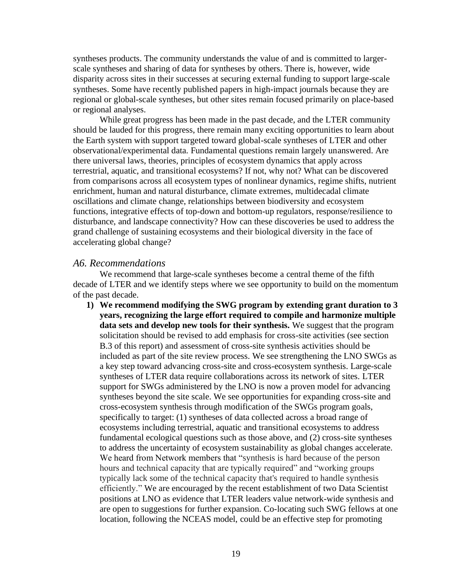syntheses products. The community understands the value of and is committed to largerscale syntheses and sharing of data for syntheses by others. There is, however, wide disparity across sites in their successes at securing external funding to support large-scale syntheses. Some have recently published papers in high-impact journals because they are regional or global-scale syntheses, but other sites remain focused primarily on place-based or regional analyses.

 there universal laws, theories, principles of ecosystem dynamics that apply across While great progress has been made in the past decade, and the LTER community should be lauded for this progress, there remain many exciting opportunities to learn about the Earth system with support targeted toward global-scale syntheses of LTER and other observational/experimental data. Fundamental questions remain largely unanswered. Are terrestrial, aquatic, and transitional ecosystems? If not, why not? What can be discovered from comparisons across all ecosystem types of nonlinear dynamics, regime shifts, nutrient enrichment, human and natural disturbance, climate extremes, multidecadal climate oscillations and climate change, relationships between biodiversity and ecosystem functions, integrative effects of top-down and bottom-up regulators, response/resilience to disturbance, and landscape connectivity? How can these discoveries be used to address the grand challenge of sustaining ecosystems and their biological diversity in the face of accelerating global change?

#### *A6. Recommendations*

 We recommend that large-scale syntheses become a central theme of the fifth decade of LTER and we identify steps where we see opportunity to build on the momentum of the past decade.

 location, following the NCEAS model, could be an effective step for promoting **1) We recommend modifying the SWG program by extending grant duration to 3 years, recognizing the large effort required to compile and harmonize multiple data sets and develop new tools for their synthesis.** We suggest that the program solicitation should be revised to add emphasis for cross-site activities (see section B.3 of this report) and assessment of cross-site synthesis activities should be included as part of the site review process. We see strengthening the LNO SWGs as a key step toward advancing cross-site and cross-ecosystem synthesis. Large-scale syntheses of LTER data require collaborations across its network of sites. LTER support for SWGs administered by the LNO is now a proven model for advancing syntheses beyond the site scale. We see opportunities for expanding cross-site and cross-ecosystem synthesis through modification of the SWGs program goals, specifically to target: (1) syntheses of data collected across a broad range of ecosystems including terrestrial, aquatic and transitional ecosystems to address fundamental ecological questions such as those above, and (2) cross-site syntheses to address the uncertainty of ecosystem sustainability as global changes accelerate. We heard from Network members that "synthesis is hard because of the person hours and technical capacity that are typically required" and "working groups typically lack some of the technical capacity that's required to handle synthesis efficiently." We are encouraged by the recent establishment of two Data Scientist positions at LNO as evidence that LTER leaders value network-wide synthesis and are open to suggestions for further expansion. Co-locating such SWG fellows at one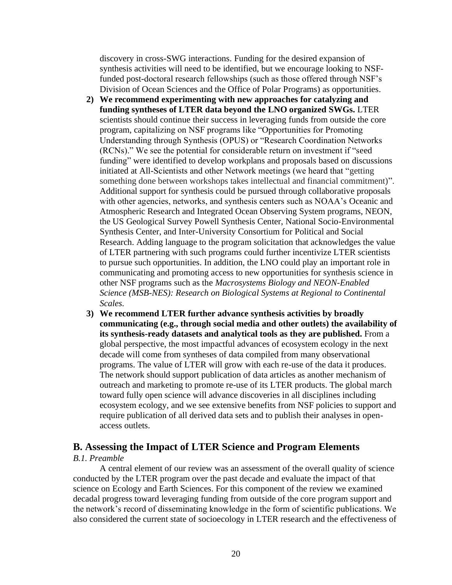synthesis activities will need to be identified, but we encourage looking to NSFdiscovery in cross-SWG interactions. Funding for the desired expansion of funded post-doctoral research fellowships (such as those offered through NSF's Division of Ocean Sciences and the Office of Polar Programs) as opportunities.

- scientists should continue their success in leveraging funds from outside the core **2) We recommend experimenting with new approaches for catalyzing and funding syntheses of LTER data beyond the LNO organized SWGs.** LTER program, capitalizing on NSF programs like "Opportunities for Promoting Understanding through Synthesis (OPUS) or "Research Coordination Networks (RCNs)." We see the potential for considerable return on investment if "seed funding" were identified to develop workplans and proposals based on discussions initiated at All-Scientists and other Network meetings (we heard that "getting something done between workshops takes intellectual and financial commitment)". Additional support for synthesis could be pursued through collaborative proposals with other agencies, networks, and synthesis centers such as NOAA's Oceanic and Atmospheric Research and Integrated Ocean Observing System programs, NEON, the US Geological Survey Powell Synthesis Center, National Socio-Environmental Synthesis Center, and Inter-University Consortium for Political and Social Research. Adding language to the program solicitation that acknowledges the value of LTER partnering with such programs could further incentivize LTER scientists to pursue such opportunities. In addition, the LNO could play an important role in communicating and promoting access to new opportunities for synthesis science in other NSF programs such as the *Macrosystems Biology and NEON-Enabled Science (MSB-NES): Research on Biological Systems at Regional to Continental Scales.*
- **3) We recommend LTER further advance synthesis activities by broadly communicating (e.g., through social media and other outlets) the availability of its synthesis-ready datasets and analytical tools as they are published.** From a global perspective, the most impactful advances of ecosystem ecology in the next decade will come from syntheses of data compiled from many observational programs. The value of LTER will grow with each re-use of the data it produces. The network should support publication of data articles as another mechanism of outreach and marketing to promote re-use of its LTER products. The global march toward fully open science will advance discoveries in all disciplines including ecosystem ecology, and we see extensive benefits from NSF policies to support and require publication of all derived data sets and to publish their analyses in openaccess outlets.

## **B. Assessing the Impact of LTER Science and Program Elements**

#### *B.1. Preamble*

A central element of our review was an assessment of the overall quality of science conducted by the LTER program over the past decade and evaluate the impact of that science on Ecology and Earth Sciences. For this component of the review we examined decadal progress toward leveraging funding from outside of the core program support and the network's record of disseminating knowledge in the form of scientific publications. We also considered the current state of socioecology in LTER research and the effectiveness of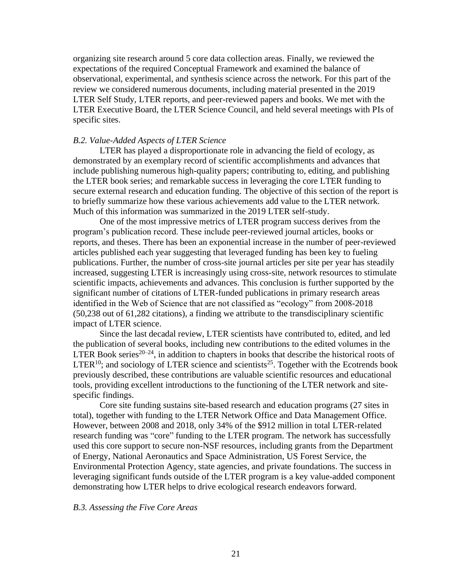organizing site research around 5 core data collection areas. Finally, we reviewed the expectations of the required Conceptual Framework and examined the balance of observational, experimental, and synthesis science across the network. For this part of the review we considered numerous documents, including material presented in the 2019 LTER Self Study, LTER reports, and peer-reviewed papers and books. We met with the LTER Executive Board, the LTER Science Council, and held several meetings with PIs of specific sites.

#### *B.2. Value-Added Aspects of LTER Science*

 secure external research and education funding. The objective of this section of the report is LTER has played a disproportionate role in advancing the field of ecology, as demonstrated by an exemplary record of scientific accomplishments and advances that include publishing numerous high-quality papers; contributing to, editing, and publishing the LTER book series; and remarkable success in leveraging the core LTER funding to to briefly summarize how these various achievements add value to the LTER network. Much of this information was summarized in the 2019 LTER self-study.

 One of the most impressive metrics of LTER program success derives from the program's publication record. These include peer-reviewed journal articles, books or reports, and theses. There has been an exponential increase in the number of peer-reviewed articles published each year suggesting that leveraged funding has been key to fueling publications. Further, the number of cross-site journal articles per site per year has steadily increased, suggesting LTER is increasingly using cross-site, network resources to stimulate scientific impacts, achievements and advances. This conclusion is further supported by the significant number of citations of LTER-funded publications in primary research areas identified in the Web of Science that are not classified as "ecology" from 2008-2018 (50,238 out of 61,282 citations), a finding we attribute to the transdisciplinary scientific impact of LTER science.

Since the last decadal review, LTER scientists have contributed to, edited, and led the publication of several books, including new contributions to the edited volumes in the LTER Book series<sup>20–24</sup>, in addition to chapters in books that describe the historical roots of LTER<sup>10</sup>; and sociology of LTER science and scientists<sup>25</sup>. Together with the Ecotrends book previously described, these contributions are valuable scientific resources and educational tools, providing excellent introductions to the functioning of the LTER network and sitespecific findings.

Core site funding sustains site-based research and education programs (27 sites in total), together with funding to the LTER Network Office and Data Management Office. However, between 2008 and 2018, only 34% of the \$912 million in total LTER-related research funding was "core" funding to the LTER program. The network has successfully used this core support to secure non-NSF resources, including grants from the Department of Energy, National Aeronautics and Space Administration, US Forest Service, the Environmental Protection Agency, state agencies, and private foundations. The success in leveraging significant funds outside of the LTER program is a key value-added component demonstrating how LTER helps to drive ecological research endeavors forward.

#### *B.3. Assessing the Five Core Areas*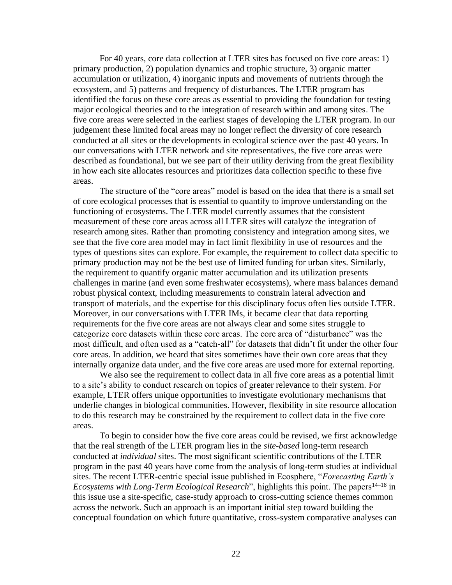For 40 years, core data collection at LTER sites has focused on five core areas: 1) For 40 years, core data collection at LTER sites has focused on five core areas: 1) production, 2) population dynamics and trophic structure, 3) organic matter lation or utilization, 4) inorganic inputs and movements of nu primary production, 2) population dynamics and trophic structure, 3) organic matter accumulation or utilization, 4) inorganic inputs and movements of nutrients through the ecosystem, and 5) patterns and frequency of disturbances. The LTER program has identified the focus on these core areas as essential to providing the foundation for testing major ecological theories and to the integration of research within and among sites. The five core areas were selected in the earliest stages of developing the LTER program. In our judgement these limited focal areas may no longer reflect the diversity of core research conducted at all sites or the developments in ecological science over the past 40 years. In our conversations with LTER network and site representatives, the five core areas were described as foundational, but we see part of their utility deriving from the great flexibility in how each site allocates resources and prioritizes data collection specific to these five areas.

 The structure of the "core areas" model is based on the idea that there is a small set of core ecological processes that is essential to quantify to improve understanding on the functioning of ecosystems. The LTER model currently assumes that the consistent measurement of these core areas across all LTER sites will catalyze the integration of research among sites. Rather than promoting consistency and integration among sites, we see that the five core area model may in fact limit flexibility in use of resources and the types of questions sites can explore. For example, the requirement to collect data specific to primary production may not be the best use of limited funding for urban sites. Similarly, the requirement to quantify organic matter accumulation and its utilization presents challenges in marine (and even some freshwater ecosystems), where mass balances demand robust physical context, including measurements to constrain lateral advection and transport of materials, and the expertise for this disciplinary focus often lies outside LTER. Moreover, in our conversations with LTER IMs, it became clear that data reporting requirements for the five core areas are not always clear and some sites struggle to categorize core datasets within these core areas. The core area of "disturbance" was the most difficult, and often used as a "catch-all" for datasets that didn't fit under the other four core areas. In addition, we heard that sites sometimes have their own core areas that they internally organize data under, and the five core areas are used more for external reporting.

 We also see the requirement to collect data in all five core areas as a potential limit to a site's ability to conduct research on topics of greater relevance to their system. For example, LTER offers unique opportunities to investigate evolutionary mechanisms that underlie changes in biological communities. However, flexibility in site resource allocation to do this research may be constrained by the requirement to collect data in the five core areas.

 that the real strength of the LTER program lies in the *site-based* long-term research program in the past 40 years have come from the analysis of long-term studies at individual To begin to consider how the five core areas could be revised, we first acknowledge conducted at *individual* sites. The most significant scientific contributions of the LTER sites. The recent LTER-centric special issue published in Ecosphere, "*Forecasting Earth's Ecosystems with Long-Term Ecological Research*", highlights this point. The papers<sup>14–18</sup> in this issue use a site-specific, case-study approach to cross-cutting science themes common across the network. Such an approach is an important initial step toward building the conceptual foundation on which future quantitative, cross-system comparative analyses can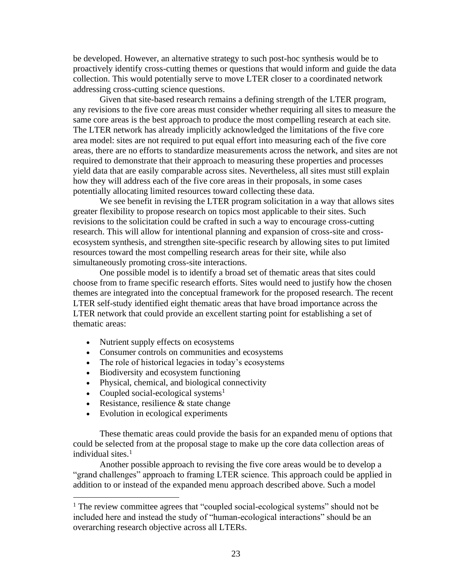proactively identify cross-cutting themes or questions that would inform and guide the data be developed. However, an alternative strategy to such post-hoc synthesis would be to collection. This would potentially serve to move LTER closer to a coordinated network addressing cross-cutting science questions.

 any revisions to the five core areas must consider whether requiring all sites to measure the area model: sites are not required to put equal effort into measuring each of the five core how they will address each of the five core areas in their proposals, in some cases Given that site-based research remains a defining strength of the LTER program, same core areas is the best approach to produce the most compelling research at each site. The LTER network has already implicitly acknowledged the limitations of the five core areas, there are no efforts to standardize measurements across the network, and sites are not required to demonstrate that their approach to measuring these properties and processes yield data that are easily comparable across sites. Nevertheless, all sites must still explain potentially allocating limited resources toward collecting these data.

We see benefit in revising the LTER program solicitation in a way that allows sites greater flexibility to propose research on topics most applicable to their sites. Such revisions to the solicitation could be crafted in such a way to encourage cross-cutting research. This will allow for intentional planning and expansion of cross-site and crossecosystem synthesis, and strengthen site-specific research by allowing sites to put limited resources toward the most compelling research areas for their site, while also simultaneously promoting cross-site interactions.

 LTER self-study identified eight thematic areas that have broad importance across the One possible model is to identify a broad set of thematic areas that sites could choose from to frame specific research efforts. Sites would need to justify how the chosen themes are integrated into the conceptual framework for the proposed research. The recent LTER network that could provide an excellent starting point for establishing a set of thematic areas:

- Nutrient supply effects on ecosystems
- Consumer controls on communities and ecosystems
- The role of historical legacies in today's ecosystems
- Biodiversity and ecosystem functioning
- Physical, chemical, and biological connectivity
- Coupled social-ecological systems<sup>1</sup>
- Resistance, resilience  $&$  state change
- Evolution in ecological experiments

 could be selected from at the proposal stage to make up the core data collection areas of These thematic areas could provide the basis for an expanded menu of options that individual sites. $<sup>1</sup>$ </sup>

Another possible approach to revising the five core areas would be to develop a "grand challenges" approach to framing LTER science. This approach could be applied in addition to or instead of the expanded menu approach described above. Such a model

<sup>&</sup>lt;sup>1</sup> The review committee agrees that "coupled social-ecological systems" should not be included here and instead the study of "human-ecological interactions" should be an overarching research objective across all LTERs.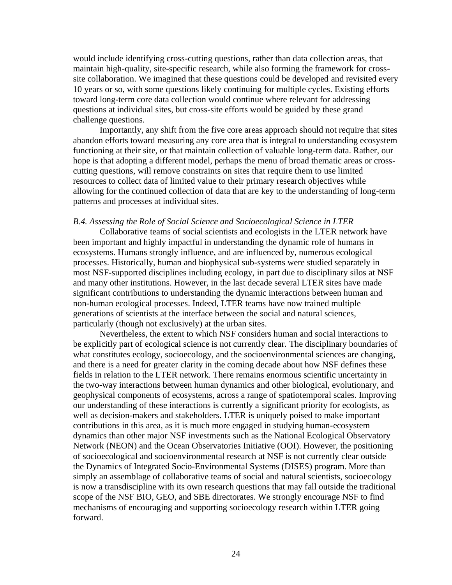would include identifying cross-cutting questions, rather than data collection areas, that maintain high-quality, site-specific research, while also forming the framework for crosssite collaboration. We imagined that these questions could be developed and revisited every 10 years or so, with some questions likely continuing for multiple cycles. Existing efforts toward long-term core data collection would continue where relevant for addressing questions at individual sites, but cross-site efforts would be guided by these grand challenge questions.

Importantly, any shift from the five core areas approach should not require that sites abandon efforts toward measuring any core area that is integral to understanding ecosystem functioning at their site, or that maintain collection of valuable long-term data. Rather, our hope is that adopting a different model, perhaps the menu of broad thematic areas or crosscutting questions, will remove constraints on sites that require them to use limited resources to collect data of limited value to their primary research objectives while allowing for the continued collection of data that are key to the understanding of long-term patterns and processes at individual sites.

#### *B.4. Assessing the Role of Social Science and Socioecological Science in LTER*

 and many other institutions. However, in the last decade several LTER sites have made Collaborative teams of social scientists and ecologists in the LTER network have been important and highly impactful in understanding the dynamic role of humans in ecosystems. Humans strongly influence, and are influenced by, numerous ecological processes. Historically, human and biophysical sub-systems were studied separately in most NSF-supported disciplines including ecology, in part due to disciplinary silos at NSF significant contributions to understanding the dynamic interactions between human and non-human ecological processes. Indeed, LTER teams have now trained multiple generations of scientists at the interface between the social and natural sciences, particularly (though not exclusively) at the urban sites.

Nevertheless, the extent to which NSF considers human and social interactions to be explicitly part of ecological science is not currently clear. The disciplinary boundaries of what constitutes ecology, socioecology, and the socioenvironmental sciences are changing, and there is a need for greater clarity in the coming decade about how NSF defines these fields in relation to the LTER network. There remains enormous scientific uncertainty in the two-way interactions between human dynamics and other biological, evolutionary, and geophysical components of ecosystems, across a range of spatiotemporal scales. Improving our understanding of these interactions is currently a significant priority for ecologists, as well as decision-makers and stakeholders. LTER is uniquely poised to make important contributions in this area, as it is much more engaged in studying human-ecosystem dynamics than other major NSF investments such as the National Ecological Observatory Network (NEON) and the Ocean Observatories Initiative (OOI). However, the positioning of socioecological and socioenvironmental research at NSF is not currently clear outside the Dynamics of Integrated Socio-Environmental Systems (DISES) program. More than simply an assemblage of collaborative teams of social and natural scientists, socioecology is now a transdiscipline with its own research questions that may fall outside the traditional scope of the NSF BIO, GEO, and SBE directorates. We strongly encourage NSF to find mechanisms of encouraging and supporting socioecology research within LTER going forward.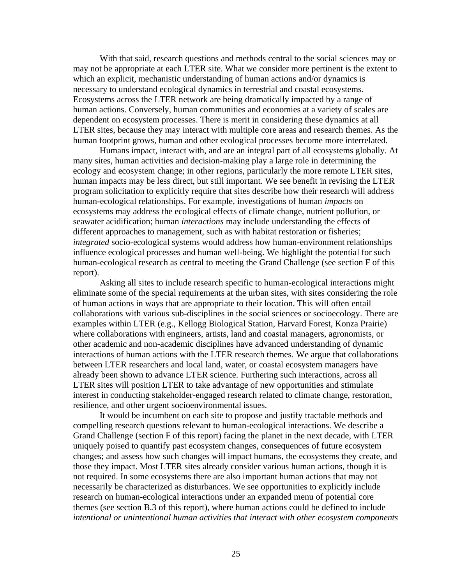human footprint grows, human and other ecological processes become more interrelated. With that said, research questions and methods central to the social sciences may or may not be appropriate at each LTER site. What we consider more pertinent is the extent to which an explicit, mechanistic understanding of human actions and/or dynamics is necessary to understand ecological dynamics in terrestrial and coastal ecosystems. Ecosystems across the LTER network are being dramatically impacted by a range of human actions. Conversely, human communities and economies at a variety of scales are dependent on ecosystem processes. There is merit in considering these dynamics at all LTER sites, because they may interact with multiple core areas and research themes. As the

 ecology and ecosystem change; in other regions, particularly the more remote LTER sites, Humans impact, interact with, and are an integral part of all ecosystems globally. At many sites, human activities and decision-making play a large role in determining the human impacts may be less direct, but still important. We see benefit in revising the LTER program solicitation to explicitly require that sites describe how their research will address human-ecological relationships. For example, investigations of human *impacts* on ecosystems may address the ecological effects of climate change, nutrient pollution, or seawater acidification; human *interactions* may include understanding the effects of different approaches to management, such as with habitat restoration or fisheries; *integrated* socio-ecological systems would address how human-environment relationships influence ecological processes and human well-being. We highlight the potential for such human-ecological research as central to meeting the Grand Challenge (see section F of this report).

 interactions of human actions with the LTER research themes. We argue that collaborations between LTER researchers and local land, water, or coastal ecosystem managers have Asking all sites to include research specific to human-ecological interactions might eliminate some of the special requirements at the urban sites, with sites considering the role of human actions in ways that are appropriate to their location. This will often entail collaborations with various sub-disciplines in the social sciences or socioecology. There are examples within LTER (e.g., Kellogg Biological Station, Harvard Forest, Konza Prairie) where collaborations with engineers, artists, land and coastal managers, agronomists, or other academic and non-academic disciplines have advanced understanding of dynamic already been shown to advance LTER science. Furthering such interactions, across all LTER sites will position LTER to take advantage of new opportunities and stimulate interest in conducting stakeholder-engaged research related to climate change, restoration, resilience, and other urgent socioenvironmental issues.

 Grand Challenge (section F of this report) facing the planet in the next decade, with LTER uniquely poised to quantify past ecosystem changes, consequences of future ecosystem research on human-ecological interactions under an expanded menu of potential core It would be incumbent on each site to propose and justify tractable methods and compelling research questions relevant to human-ecological interactions. We describe a changes; and assess how such changes will impact humans, the ecosystems they create, and those they impact. Most LTER sites already consider various human actions, though it is not required. In some ecosystems there are also important human actions that may not necessarily be characterized as disturbances. We see opportunities to explicitly include themes (see section B.3 of this report), where human actions could be defined to include *intentional or unintentional human activities that interact with other ecosystem components*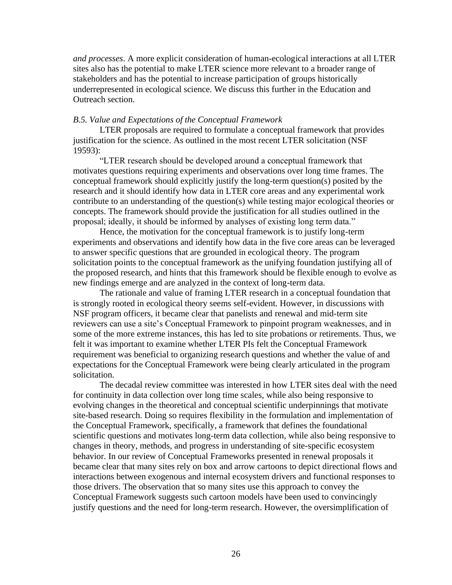*and processes*. A more explicit consideration of human-ecological interactions at all LTER sites also has the potential to make LTER science more relevant to a broader range of stakeholders and has the potential to increase participation of groups historically underrepresented in ecological science. We discuss this further in the Education and Outreach section.

#### *B.5. Value and Expectations of the Conceptual Framework*

LTER proposals are required to formulate a conceptual framework that provides justification for the science. As outlined in the most recent LTER solicitation (NSF 19593):

"LTER research should be developed around a conceptual framework that motivates questions requiring experiments and observations over long time frames. The conceptual framework should explicitly justify the long-term question(s) posited by the research and it should identify how data in LTER core areas and any experimental work contribute to an understanding of the question(s) while testing major ecological theories or concepts. The framework should provide the justification for all studies outlined in the proposal; ideally, it should be informed by analyses of existing long term data."

Hence, the motivation for the conceptual framework is to justify long-term experiments and observations and identify how data in the five core areas can be leveraged to answer specific questions that are grounded in ecological theory. The program solicitation points to the conceptual framework as the unifying foundation justifying all of the proposed research, and hints that this framework should be flexible enough to evolve as new findings emerge and are analyzed in the context of long-term data.

The rationale and value of framing LTER research in a conceptual foundation that is strongly rooted in ecological theory seems self-evident. However, in discussions with NSF program officers, it became clear that panelists and renewal and mid-term site reviewers can use a site's Conceptual Framework to pinpoint program weaknesses, and in some of the more extreme instances, this has led to site probations or retirements. Thus, we felt it was important to examine whether LTER PIs felt the Conceptual Framework requirement was beneficial to organizing research questions and whether the value of and expectations for the Conceptual Framework were being clearly articulated in the program solicitation.

 changes in theory, methods, and progress in understanding of site-specific ecosystem The decadal review committee was interested in how LTER sites deal with the need for continuity in data collection over long time scales, while also being responsive to evolving changes in the theoretical and conceptual scientific underpinnings that motivate site-based research. Doing so requires flexibility in the formulation and implementation of the Conceptual Framework, specifically, a framework that defines the foundational scientific questions and motivates long-term data collection, while also being responsive to behavior. In our review of Conceptual Frameworks presented in renewal proposals it became clear that many sites rely on box and arrow cartoons to depict directional flows and interactions between exogenous and internal ecosystem drivers and functional responses to those drivers. The observation that so many sites use this approach to convey the Conceptual Framework suggests such cartoon models have been used to convincingly justify questions and the need for long-term research. However, the oversimplification of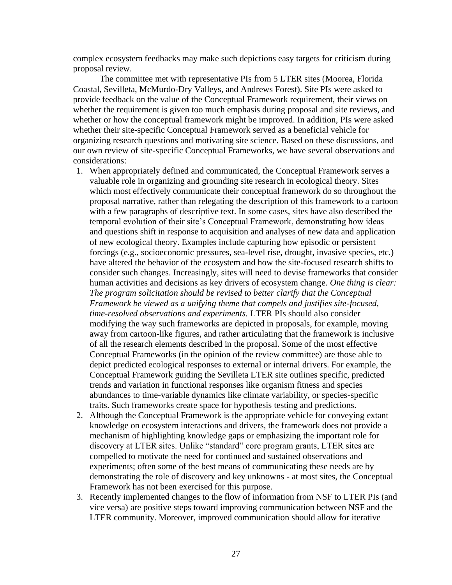complex ecosystem feedbacks may make such depictions easy targets for criticism during proposal review.

The committee met with representative PIs from 5 LTER sites (Moorea, Florida Coastal, Sevilleta, McMurdo-Dry Valleys, and Andrews Forest). Site PIs were asked to provide feedback on the value of the Conceptual Framework requirement, their views on whether the requirement is given too much emphasis during proposal and site reviews, and whether or how the conceptual framework might be improved. In addition, PIs were asked whether their site-specific Conceptual Framework served as a beneficial vehicle for organizing research questions and motivating site science. Based on these discussions, and our own review of site-specific Conceptual Frameworks, we have several observations and considerations:

- which most effectively communicate their conceptual framework do so throughout the have altered the behavior of the ecosystem and how the site-focused research shifts to of all the research elements described in the proposal. Some of the most effective 1. When appropriately defined and communicated, the Conceptual Framework serves a valuable role in organizing and grounding site research in ecological theory. Sites proposal narrative, rather than relegating the description of this framework to a cartoon with a few paragraphs of descriptive text. In some cases, sites have also described the temporal evolution of their site's Conceptual Framework, demonstrating how ideas and questions shift in response to acquisition and analyses of new data and application of new ecological theory. Examples include capturing how episodic or persistent forcings (e.g., socioeconomic pressures, sea-level rise, drought, invasive species, etc.) consider such changes. Increasingly, sites will need to devise frameworks that consider human activities and decisions as key drivers of ecosystem change. *One thing is clear: The program solicitation should be revised to better clarify that the Conceptual Framework be viewed as a unifying theme that compels and justifies site-focused, time-resolved observations and experiments.* LTER PIs should also consider modifying the way such frameworks are depicted in proposals, for example, moving away from cartoon-like figures, and rather articulating that the framework is inclusive Conceptual Frameworks (in the opinion of the review committee) are those able to depict predicted ecological responses to external or internal drivers. For example, the Conceptual Framework guiding the Sevilleta LTER site outlines specific, predicted trends and variation in functional responses like organism fitness and species abundances to time-variable dynamics like climate variability, or species-specific traits. Such frameworks create space for hypothesis testing and predictions.
- discovery at LTER sites. Unlike "standard" core program grants, LTER sites are 2. Although the Conceptual Framework is the appropriate vehicle for conveying extant knowledge on ecosystem interactions and drivers, the framework does not provide a mechanism of highlighting knowledge gaps or emphasizing the important role for compelled to motivate the need for continued and sustained observations and experiments; often some of the best means of communicating these needs are by demonstrating the role of discovery and key unknowns - at most sites, the Conceptual Framework has not been exercised for this purpose.
- 3. Recently implemented changes to the flow of information from NSF to LTER PIs (and vice versa) are positive steps toward improving communication between NSF and the LTER community. Moreover, improved communication should allow for iterative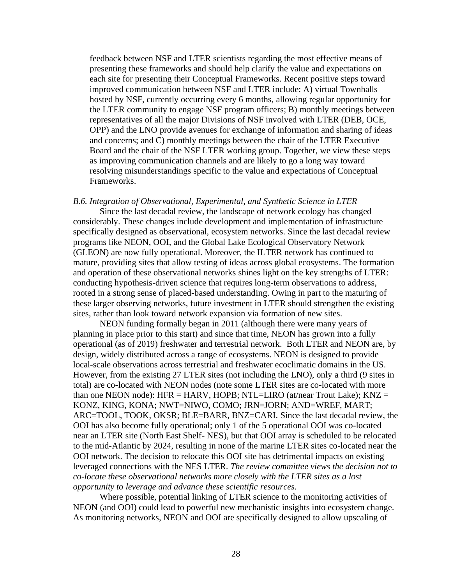improved communication between NSF and LTER include: A) virtual Townhalls feedback between NSF and LTER scientists regarding the most effective means of presenting these frameworks and should help clarify the value and expectations on each site for presenting their Conceptual Frameworks. Recent positive steps toward hosted by NSF, currently occurring every 6 months, allowing regular opportunity for the LTER community to engage NSF program officers; B) monthly meetings between representatives of all the major Divisions of NSF involved with LTER (DEB, OCE, OPP) and the LNO provide avenues for exchange of information and sharing of ideas and concerns; and C) monthly meetings between the chair of the LTER Executive Board and the chair of the NSF LTER working group. Together, we view these steps as improving communication channels and are likely to go a long way toward resolving misunderstandings specific to the value and expectations of Conceptual Frameworks.

#### *B.6. Integration of Observational, Experimental, and Synthetic Science in LTER*

 programs like NEON, OOI, and the Global Lake Ecological Observatory Network Since the last decadal review, the landscape of network ecology has changed considerably. These changes include development and implementation of infrastructure specifically designed as observational, ecosystem networks. Since the last decadal review (GLEON) are now fully operational. Moreover, the ILTER network has continued to mature, providing sites that allow testing of ideas across global ecosystems. The formation and operation of these observational networks shines light on the key strengths of LTER: conducting hypothesis-driven science that requires long-term observations to address, rooted in a strong sense of placed-based understanding. Owing in part to the maturing of these larger observing networks, future investment in LTER should strengthen the existing sites, rather than look toward network expansion via formation of new sites.

 near an LTER site (North East Shelf- NES), but that OOI array is scheduled to be relocated to the mid-Atlantic by 2024, resulting in none of the marine LTER sites co-located near the NEON funding formally began in 2011 (although there were many years of planning in place prior to this start) and since that time, NEON has grown into a fully operational (as of 2019) freshwater and terrestrial network. Both LTER and NEON are, by design, widely distributed across a range of ecosystems. NEON is designed to provide local-scale observations across terrestrial and freshwater ecoclimatic domains in the US. However, from the existing 27 LTER sites (not including the LNO), only a third (9 sites in total) are co-located with NEON nodes (note some LTER sites are co-located with more than one NEON node):  $HFR = HARV$ , HOPB; NTL=LIRO (at/near Trout Lake);  $KNZ =$ KONZ, KING, KONA; NWT=NIWO, COMO; JRN=JORN; AND=WREF, MART; ARC=TOOL, TOOK, OKSR; BLE=BARR, BNZ=CARI. Since the last decadal review, the OOI has also become fully operational; only 1 of the 5 operational OOI was co-located OOI network. The decision to relocate this OOI site has detrimental impacts on existing leveraged connections with the NES LTER. *The review committee views the decision not to co-locate these observational networks more closely with the LTER sites as a lost opportunity to leverage and advance these scientific resources.* 

Where possible, potential linking of LTER science to the monitoring activities of NEON (and OOI) could lead to powerful new mechanistic insights into ecosystem change. As monitoring networks, NEON and OOI are specifically designed to allow upscaling of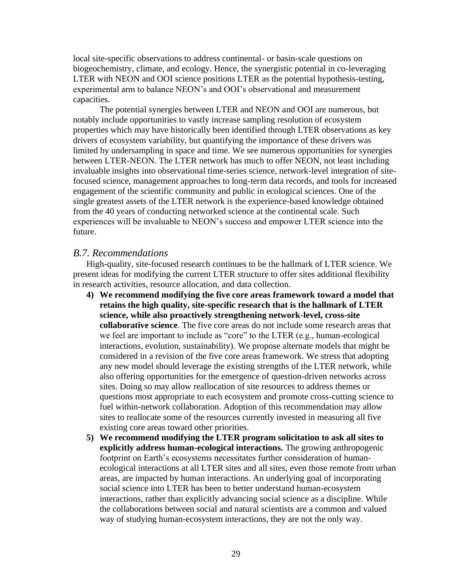local site-specific observations to address continental- or basin-scale questions on biogeochemistry, climate, and ecology. Hence, the synergistic potential in co-leveraging LTER with NEON and OOI science positions LTER as the potential hypothesis-testing, experimental arm to balance NEON's and OOI's observational and measurement capacities.

The potential synergies between LTER and NEON and OOI are numerous, but notably include opportunities to vastly increase sampling resolution of ecosystem properties which may have historically been identified through LTER observations as key drivers of ecosystem variability, but quantifying the importance of these drivers was limited by undersampling in space and time. We see numerous opportunities for synergies between LTER-NEON. The LTER network has much to offer NEON, not least including invaluable insights into observational time-series science, network-level integration of sitefocused science, management approaches to long-term data records, and tools for increased engagement of the scientific community and public in ecological sciences. One of the single greatest assets of the LTER network is the experience-based knowledge obtained from the 40 years of conducting networked science at the continental scale. Such experiences will be invaluable to NEON's success and empower LTER science into the future.

### *B.7. Recommendations*

High-quality, site-focused research continues to be the hallmark of LTER science. We present ideas for modifying the current LTER structure to offer sites additional flexibility in research activities, resource allocation, and data collection.

- **4) We recommend modifying the five core areas framework toward a model that retains the high quality, site-specific research that is the hallmark of LTER science, while also proactively strengthening network-level, cross-site collaborative science**. The five core areas do not include some research areas that we feel are important to include as "core" to the LTER (e.g., human-ecological interactions, evolution, sustainability). We propose alternate models that might be considered in a revision of the five core areas framework. We stress that adopting any new model should leverage the existing strengths of the LTER network, while also offering opportunities for the emergence of question-driven networks across sites. Doing so may allow reallocation of site resources to address themes or questions most appropriate to each ecosystem and promote cross-cutting science to fuel within-network collaboration. Adoption of this recommendation may allow sites to reallocate some of the resources currently invested in measuring all five existing core areas toward other priorities.
- **5) We recommend modifying the LTER program solicitation to ask all sites to explicitly address human-ecological interactions.** The growing anthropogenic footprint on Earth's ecosystems necessitates further consideration of humanecological interactions at all LTER sites and all sites, even those remote from urban areas, are impacted by human interactions. An underlying goal of incorporating social science into LTER has been to better understand human-ecosystem interactions, rather than explicitly advancing social science as a discipline. While the collaborations between social and natural scientists are a common and valued way of studying human-ecosystem interactions, they are not the only way.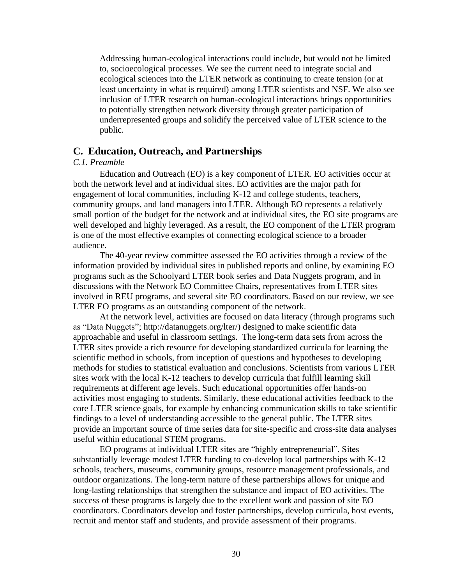least uncertainty in what is required) among LTER scientists and NSF. We also see Addressing human-ecological interactions could include, but would not be limited to, socioecological processes. We see the current need to integrate social and ecological sciences into the LTER network as continuing to create tension (or at inclusion of LTER research on human-ecological interactions brings opportunities to potentially strengthen network diversity through greater participation of underrepresented groups and solidify the perceived value of LTER science to the public.

#### **C. Education, Outreach, and Partnerships**

#### *C.1. Preamble*

Education and Outreach (EO) is a key component of LTER. EO activities occur at both the network level and at individual sites. EO activities are the major path for engagement of local communities, including K-12 and college students, teachers, community groups, and land managers into LTER. Although EO represents a relatively small portion of the budget for the network and at individual sites, the EO site programs are well developed and highly leveraged. As a result, the EO component of the LTER program is one of the most effective examples of connecting ecological science to a broader audience.

The 40-year review committee assessed the EO activities through a review of the information provided by individual sites in published reports and online, by examining EO programs such as the Schoolyard LTER book series and Data Nuggets program, and in discussions with the Network EO Committee Chairs, representatives from LTER sites involved in REU programs, and several site EO coordinators. Based on our review, we see LTER EO programs as an outstanding component of the network.

 provide an important source of time series data for site-specific and cross-site data analyses At the network level, activities are focused on data literacy (through programs such as "Data Nuggets"; [http://datanuggets.org/lter/](http://datanuggets.org/lter)) designed to make scientific data approachable and useful in classroom settings. The long-term data sets from across the LTER sites provide a rich resource for developing standardized curricula for learning the scientific method in schools, from inception of questions and hypotheses to developing methods for studies to statistical evaluation and conclusions. Scientists from various LTER sites work with the local K-12 teachers to develop curricula that fulfill learning skill requirements at different age levels. Such educational opportunities offer hands-on activities most engaging to students. Similarly, these educational activities feedback to the core LTER science goals, for example by enhancing communication skills to take scientific findings to a level of understanding accessible to the general public. The LTER sites useful within educational STEM programs.

 success of these programs is largely due to the excellent work and passion of site EO EO programs at individual LTER sites are "highly entrepreneurial". Sites substantially leverage modest LTER funding to co-develop local partnerships with K-12 schools, teachers, museums, community groups, resource management professionals, and outdoor organizations. The long-term nature of these partnerships allows for unique and long-lasting relationships that strengthen the substance and impact of EO activities. The coordinators. Coordinators develop and foster partnerships, develop curricula, host events, recruit and mentor staff and students, and provide assessment of their programs.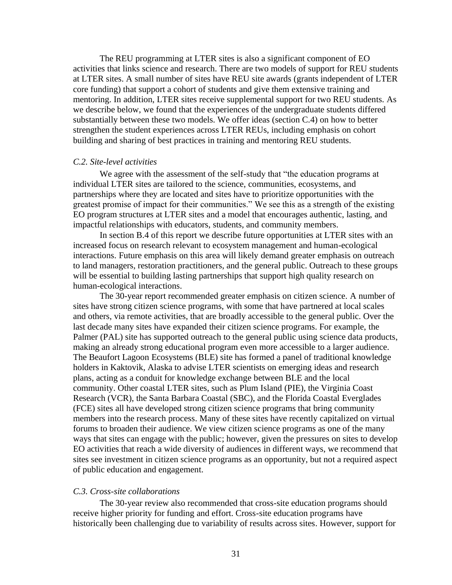The REU programming at LTER sites is also a significant component of EO activities that links science and research. There are two models of support for REU students at LTER sites. A small number of sites have REU site awards (grants independent of LTER core funding) that support a cohort of students and give them extensive training and mentoring. In addition, LTER sites receive supplemental support for two REU students. As we describe below, we found that the experiences of the undergraduate students differed substantially between these two models. We offer ideas (section C.4) on how to better strengthen the student experiences across LTER REUs, including emphasis on cohort building and sharing of best practices in training and mentoring REU students.

#### *C.2. Site-level activities*

We agree with the assessment of the self-study that "the education programs at individual LTER sites are tailored to the science, communities, ecosystems, and partnerships where they are located and sites have to prioritize opportunities with the greatest promise of impact for their communities." We see this as a strength of the existing EO program structures at LTER sites and a model that encourages authentic, lasting, and impactful relationships with educators, students, and community members.

In section B.4 of this report we describe future opportunities at LTER sites with an increased focus on research relevant to ecosystem management and human-ecological interactions. Future emphasis on this area will likely demand greater emphasis on outreach to land managers, restoration practitioners, and the general public. Outreach to these groups will be essential to building lasting partnerships that support high quality research on human-ecological interactions.

 Research (VCR), the Santa Barbara Coastal (SBC), and the Florida Coastal Everglades The 30-year report recommended greater emphasis on citizen science. A number of sites have strong citizen science programs, with some that have partnered at local scales and others, via remote activities, that are broadly accessible to the general public. Over the last decade many sites have expanded their citizen science programs. For example, the Palmer (PAL) site has supported outreach to the general public using science data products, making an already strong educational program even more accessible to a larger audience. The Beaufort Lagoon Ecosystems (BLE) site has formed a panel of traditional knowledge holders in Kaktovik, Alaska to advise LTER scientists on emerging ideas and research plans, acting as a conduit for knowledge exchange between BLE and the local community. Other coastal LTER sites, such as Plum Island (PIE), the Virginia Coast (FCE) sites all have developed strong citizen science programs that bring community members into the research process. Many of these sites have recently capitalized on virtual forums to broaden their audience. We view citizen science programs as one of the many ways that sites can engage with the public; however, given the pressures on sites to develop EO activities that reach a wide diversity of audiences in different ways, we recommend that sites see investment in citizen science programs as an opportunity, but not a required aspect of public education and engagement.

#### *C.3. Cross-site collaborations*

The 30-year review also recommended that cross-site education programs should receive higher priority for funding and effort. Cross-site education programs have historically been challenging due to variability of results across sites. However, support for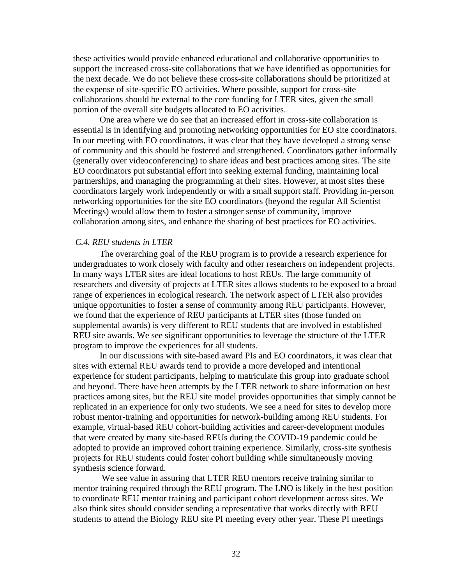these activities would provide enhanced educational and collaborative opportunities to support the increased cross-site collaborations that we have identified as opportunities for the next decade. We do not believe these cross-site collaborations should be prioritized at the expense of site-specific EO activities. Where possible, support for cross-site collaborations should be external to the core funding for LTER sites, given the small portion of the overall site budgets allocated to EO activities.

 networking opportunities for the site EO coordinators (beyond the regular All Scientist One area where we do see that an increased effort in cross-site collaboration is essential is in identifying and promoting networking opportunities for EO site coordinators. In our meeting with EO coordinators, it was clear that they have developed a strong sense of community and this should be fostered and strengthened. Coordinators gather informally (generally over videoconferencing) to share ideas and best practices among sites. The site EO coordinators put substantial effort into seeking external funding, maintaining local partnerships, and managing the programming at their sites. However, at most sites these coordinators largely work independently or with a small support staff. Providing in-person Meetings) would allow them to foster a stronger sense of community, improve collaboration among sites, and enhance the sharing of best practices for EO activities.

#### *C.4. REU students in LTER*

 In many ways LTER sites are ideal locations to host REUs. The large community of we found that the experience of REU participants at LTER sites (those funded on The overarching goal of the REU program is to provide a research experience for undergraduates to work closely with faculty and other researchers on independent projects. researchers and diversity of projects at LTER sites allows students to be exposed to a broad range of experiences in ecological research. The network aspect of LTER also provides unique opportunities to foster a sense of community among REU participants. However, supplemental awards) is very different to REU students that are involved in established REU site awards. We see significant opportunities to leverage the structure of the LTER program to improve the experiences for all students.

In our discussions with site-based award PIs and EO coordinators, it was clear that sites with external REU awards tend to provide a more developed and intentional experience for student participants, helping to matriculate this group into graduate school and beyond. There have been attempts by the LTER network to share information on best practices among sites, but the REU site model provides opportunities that simply cannot be replicated in an experience for only two students. We see a need for sites to develop more robust mentor-training and opportunities for network-building among REU students. For example, virtual-based REU cohort-building activities and career-development modules that were created by many site-based REUs during the COVID-19 pandemic could be adopted to provide an improved cohort training experience. Similarly, cross-site synthesis projects for REU students could foster cohort building while simultaneously moving synthesis science forward.

We see value in assuring that LTER REU mentors receive training similar to mentor training required through the REU program. The LNO is likely in the best position to coordinate REU mentor training and participant cohort development across sites. We also think sites should consider sending a representative that works directly with REU students to attend the Biology REU site PI meeting every other year. These PI meetings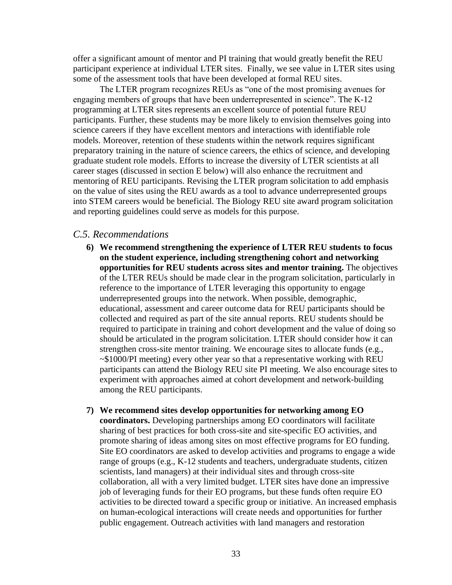offer a significant amount of mentor and PI training that would greatly benefit the REU participant experience at individual LTER sites. Finally, we see value in LTER sites using some of the assessment tools that have been developed at formal REU sites.

The LTER program recognizes REUs as "one of the most promising avenues for engaging members of groups that have been underrepresented in science". The K-12 programming at LTER sites represents an excellent source of potential future REU participants. Further, these students may be more likely to envision themselves going into science careers if they have excellent mentors and interactions with identifiable role models. Moreover, retention of these students within the network requires significant preparatory training in the nature of science careers, the ethics of science, and developing graduate student role models. Efforts to increase the diversity of LTER scientists at all career stages (discussed in section E below) will also enhance the recruitment and mentoring of REU participants. Revising the LTER program solicitation to add emphasis on the value of sites using the REU awards as a tool to advance underrepresented groups into STEM careers would be beneficial. The Biology REU site award program solicitation and reporting guidelines could serve as models for this purpose.

#### *C.5. Recommendations*

- **6) We recommend strengthening the experience of LTER REU students to focus on the student experience, including strengthening cohort and networking opportunities for REU students across sites and mentor training.** The objectives of the LTER REUs should be made clear in the program solicitation, particularly in reference to the importance of LTER leveraging this opportunity to engage underrepresented groups into the network. When possible, demographic, educational, assessment and career outcome data for REU participants should be collected and required as part of the site annual reports. REU students should be required to participate in training and cohort development and the value of doing so should be articulated in the program solicitation. LTER should consider how it can strengthen cross-site mentor training. We encourage sites to allocate funds (e.g., ~\$1000/PI meeting) every other year so that a representative working with REU participants can attend the Biology REU site PI meeting. We also encourage sites to experiment with approaches aimed at cohort development and network-building among the REU participants.
- promote sharing of ideas among sites on most effective programs for EO funding. job of leveraging funds for their EO programs, but these funds often require EO **7) We recommend sites develop opportunities for networking among EO coordinators.** Developing partnerships among EO coordinators will facilitate sharing of best practices for both cross-site and site-specific EO activities, and Site EO coordinators are asked to develop activities and programs to engage a wide range of groups (e.g., K-12 students and teachers, undergraduate students, citizen scientists, land managers) at their individual sites and through cross-site collaboration, all with a very limited budget. LTER sites have done an impressive activities to be directed toward a specific group or initiative. An increased emphasis on human-ecological interactions will create needs and opportunities for further public engagement. Outreach activities with land managers and restoration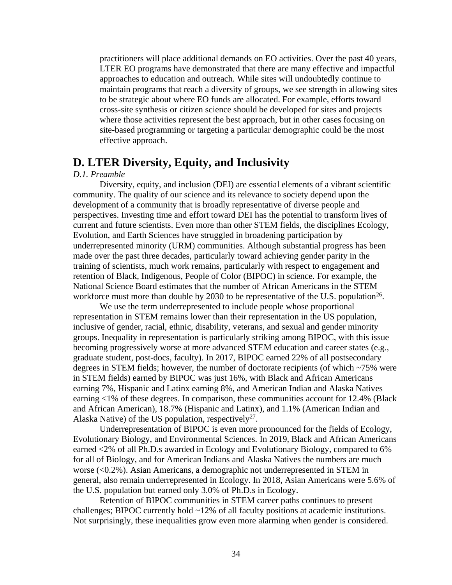LTER EO programs have demonstrated that there are many effective and impactful site-based programming or targeting a particular demographic could be the most practitioners will place additional demands on EO activities. Over the past 40 years, approaches to education and outreach. While sites will undoubtedly continue to maintain programs that reach a diversity of groups, we see strength in allowing sites to be strategic about where EO funds are allocated. For example, efforts toward cross-site synthesis or citizen science should be developed for sites and projects where those activities represent the best approach, but in other cases focusing on effective approach.

## **D. LTER Diversity, Equity, and Inclusivity**

#### *D.1. Preamble*

Diversity, equity, and inclusion (DEI) are essential elements of a vibrant scientific community. The quality of our science and its relevance to society depend upon the development of a community that is broadly representative of diverse people and perspectives. Investing time and effort toward DEI has the potential to transform lives of current and future scientists. Even more than other STEM fields, the disciplines Ecology, Evolution, and Earth Sciences have struggled in broadening participation by underrepresented minority (URM) communities. Although substantial progress has been made over the past three decades, particularly toward achieving gender parity in the training of scientists, much work remains, particularly with respect to engagement and retention of Black, Indigenous, People of Color (BIPOC) in science. For example, the National Science Board estimates that the number of African Americans in the STEM workforce must more than double by 2030 to be representative of the U.S. population<sup>26</sup>.

We use the term underrepresented to include people whose proportional representation in STEM remains lower than their representation in the US population, inclusive of gender, racial, ethnic, disability, veterans, and sexual and gender minority groups. Inequality in representation is particularly striking among BIPOC, with this issue becoming progressively worse at more advanced STEM education and career states (e.g., graduate student, post-docs, faculty). In 2017, BIPOC earned 22% of all postsecondary degrees in STEM fields; however, the number of doctorate recipients (of which ~75% were in STEM fields) earned by BIPOC was just 16%, with Black and African Americans earning 7%, Hispanic and Latinx earning 8%, and American Indian and Alaska Natives earning <1% of these degrees. In comparison, these communities account for 12.4% (Black and African American), 18.7% (Hispanic and Latinx), and 1.1% (American Indian and Alaska Native) of the US population, respectively<sup>27</sup>.

Underrepresentation of BIPOC is even more pronounced for the fields of Ecology, Evolutionary Biology, and Environmental Sciences. In 2019, Black and African Americans earned <2% of all Ph.D.s awarded in Ecology and Evolutionary Biology, compared to 6% for all of Biology, and for American Indians and Alaska Natives the numbers are much worse (<0.2%). Asian Americans, a demographic not underrepresented in STEM in general, also remain underrepresented in Ecology. In 2018, Asian Americans were 5.6% of the U.S. population but earned only 3.0% of Ph.D.s in Ecology.

Retention of BIPOC communities in STEM career paths continues to present challenges; BIPOC currently hold ~12% of all faculty positions at academic institutions. Not surprisingly, these inequalities grow even more alarming when gender is considered.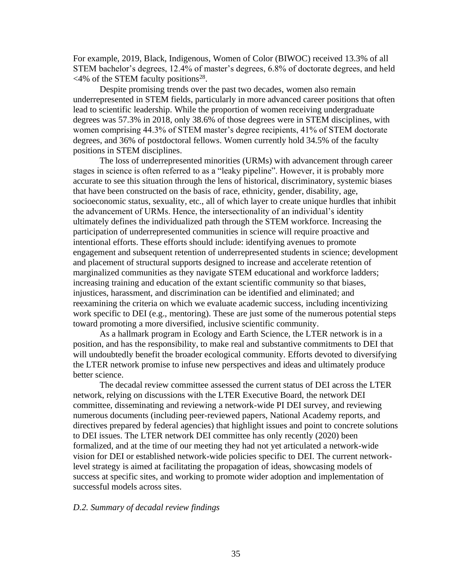For example, 2019, Black, Indigenous, Women of Color (BIWOC) received 13.3% of all STEM bachelor's degrees, 12.4% of master's degrees, 6.8% of doctorate degrees, and held  $\leq$ 4% of the STEM faculty positions<sup>28</sup>.

Despite promising trends over the past two decades, women also remain underrepresented in STEM fields, particularly in more advanced career positions that often lead to scientific leadership. While the proportion of women receiving undergraduate degrees was 57.3% in 2018, only 38.6% of those degrees were in STEM disciplines, with women comprising 44.3% of STEM master's degree recipients, 41% of STEM doctorate degrees, and 36% of postdoctoral fellows. Women currently hold 34.5% of the faculty positions in STEM disciplines.

 marginalized communities as they navigate STEM educational and workforce ladders; The loss of underrepresented minorities (URMs) with advancement through career stages in science is often referred to as a "leaky pipeline". However, it is probably more accurate to see this situation through the lens of historical, discriminatory, systemic biases that have been constructed on the basis of race, ethnicity, gender, disability, age, socioeconomic status, sexuality, etc., all of which layer to create unique hurdles that inhibit the advancement of URMs. Hence, the intersectionality of an individual's identity ultimately defines the individualized path through the STEM workforce. Increasing the participation of underrepresented communities in science will require proactive and intentional efforts. These efforts should include: identifying avenues to promote engagement and subsequent retention of underrepresented students in science; development and placement of structural supports designed to increase and accelerate retention of increasing training and education of the extant scientific community so that biases, injustices, harassment, and discrimination can be identified and eliminated; and reexamining the criteria on which we evaluate academic success, including incentivizing work specific to DEI (e.g., mentoring). These are just some of the numerous potential steps toward promoting a more diversified, inclusive scientific community.

As a hallmark program in Ecology and Earth Science, the LTER network is in a position, and has the responsibility, to make real and substantive commitments to DEI that will undoubtedly benefit the broader ecological community. Efforts devoted to diversifying the LTER network promise to infuse new perspectives and ideas and ultimately produce better science.

The decadal review committee assessed the current status of DEI across the LTER network, relying on discussions with the LTER Executive Board, the network DEI committee, disseminating and reviewing a network-wide PI DEI survey, and reviewing numerous documents (including peer-reviewed papers, National Academy reports, and directives prepared by federal agencies) that highlight issues and point to concrete solutions to DEI issues. The LTER network DEI committee has only recently (2020) been formalized, and at the time of our meeting they had not yet articulated a network-wide vision for DEI or established network-wide policies specific to DEI. The current networklevel strategy is aimed at facilitating the propagation of ideas, showcasing models of success at specific sites, and working to promote wider adoption and implementation of successful models across sites.

#### *D.2. Summary of decadal review findings*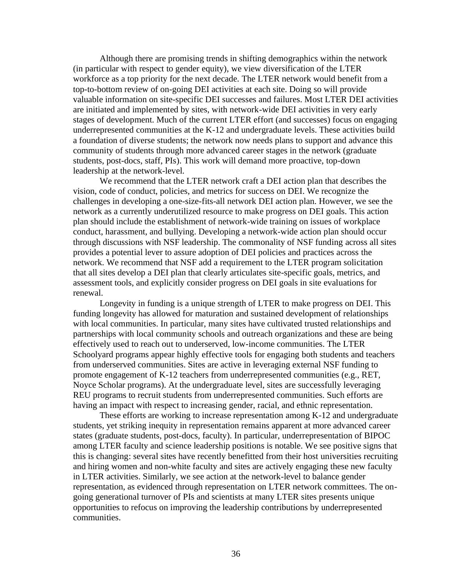a foundation of diverse students; the network now needs plans to support and advance this Although there are promising trends in shifting demographics within the network (in particular with respect to gender equity), we view diversification of the LTER workforce as a top priority for the next decade. The LTER network would benefit from a top-to-bottom review of on-going DEI activities at each site. Doing so will provide valuable information on site-specific DEI successes and failures. Most LTER DEI activities are initiated and implemented by sites, with network-wide DEI activities in very early stages of development. Much of the current LTER effort (and successes) focus on engaging underrepresented communities at the K-12 and undergraduate levels. These activities build community of students through more advanced career stages in the network (graduate students, post-docs, staff, PIs). This work will demand more proactive, top-down leadership at the network-level.

We recommend that the LTER network craft a DEI action plan that describes the vision, code of conduct, policies, and metrics for success on DEI. We recognize the challenges in developing a one-size-fits-all network DEI action plan. However, we see the network as a currently underutilized resource to make progress on DEI goals. This action plan should include the establishment of network-wide training on issues of workplace conduct, harassment, and bullying. Developing a network-wide action plan should occur through discussions with NSF leadership. The commonality of NSF funding across all sites provides a potential lever to assure adoption of DEI policies and practices across the network. We recommend that NSF add a requirement to the LTER program solicitation that all sites develop a DEI plan that clearly articulates site-specific goals, metrics, and assessment tools, and explicitly consider progress on DEI goals in site evaluations for renewal.

Longevity in funding is a unique strength of LTER to make progress on DEI. This funding longevity has allowed for maturation and sustained development of relationships with local communities. In particular, many sites have cultivated trusted relationships and partnerships with local community schools and outreach organizations and these are being effectively used to reach out to underserved, low-income communities. The LTER Schoolyard programs appear highly effective tools for engaging both students and teachers from underserved communities. Sites are active in leveraging external NSF funding to promote engagement of K-12 teachers from underrepresented communities (e.g., RET, Noyce Scholar programs). At the undergraduate level, sites are successfully leveraging REU programs to recruit students from underrepresented communities. Such efforts are having an impact with respect to increasing gender, racial, and ethnic representation.

These efforts are working to increase representation among K-12 and undergraduate students, yet striking inequity in representation remains apparent at more advanced career states (graduate students, post-docs, faculty). In particular, underrepresentation of BIPOC among LTER faculty and science leadership positions is notable. We see positive signs that this is changing: several sites have recently benefitted from their host universities recruiting and hiring women and non-white faculty and sites are actively engaging these new faculty in LTER activities. Similarly, we see action at the network-level to balance gender representation, as evidenced through representation on LTER network committees. The ongoing generational turnover of PIs and scientists at many LTER sites presents unique opportunities to refocus on improving the leadership contributions by underrepresented communities.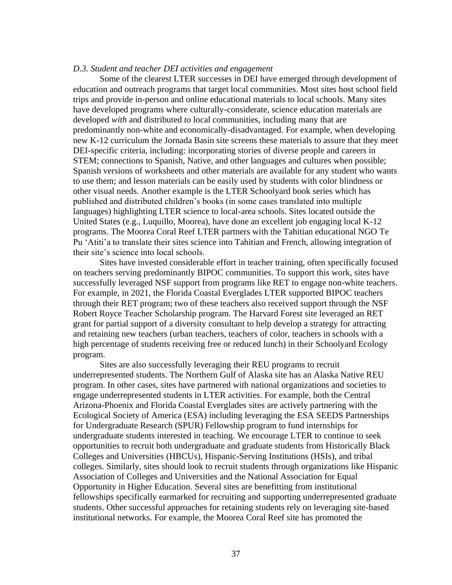#### *D.3. Student and teacher DEI activities and engagement*

Some of the clearest LTER successes in DEI have emerged through development of education and outreach programs that target local communities. Most sites host school field trips and provide in-person and online educational materials to local schools. Many sites have developed programs where culturally-considerate, science education materials are developed *with* and distributed *to* local communities, including many that are predominantly non-white and economically-disadvantaged. For example, when developing new K-12 curriculum the Jornada Basin site screens these materials to assure that they meet DEI-specific criteria, including: incorporating stories of diverse people and careers in STEM; connections to Spanish, Native, and other languages and cultures when possible; Spanish versions of worksheets and other materials are available for any student who wants to use them; and lesson materials can be easily used by students with color blindness or other visual needs. Another example is the LTER Schoolyard book series which has published and distributed children's books (in some cases translated into multiple languages) highlighting LTER science to local-area schools. Sites located outside the United States (e.g., Luquillo, Moorea), have done an excellent job engaging local K-12 programs. The Moorea Coral Reef LTER partners with the Tahitian educational NGO Te Pu 'Atiti'a to translate their sites science into Tahitian and French, allowing integration of their site's science into local schools.

Sites have invested considerable effort in teacher training, often specifically focused on teachers serving predominantly BIPOC communities. To support this work, sites have successfully leveraged NSF support from programs like RET to engage non-white teachers. For example, in 2021, the Florida Coastal Everglades LTER supported BIPOC teachers through their RET program; two of these teachers also received support through the NSF Robert Royce Teacher Scholarship program. The Harvard Forest site leveraged an RET grant for partial support of a diversity consultant to help develop a strategy for attracting and retaining new teachers (urban teachers, teachers of color, teachers in schools with a high percentage of students receiving free or reduced lunch) in their Schoolyard Ecology program.

 Opportunity in Higher Education. Several sites are benefitting from institutional Sites are also successfully leveraging their REU programs to recruit underrepresented students. The Northern Gulf of Alaska site has an Alaska Native REU program. In other cases, sites have partnered with national organizations and societies to engage underrepresented students in LTER activities. For example, both the Central Arizona-Phoenix and Florida Coastal Everglades sites are actively partnering with the Ecological Society of America (ESA) including leveraging the ESA SEEDS Partnerships for Undergraduate Research (SPUR) Fellowship program to fund internships for undergraduate students interested in teaching. We encourage LTER to continue to seek opportunities to recruit both undergraduate and graduate students from Historically Black Colleges and Universities (HBCUs), Hispanic-Serving Institutions (HSIs), and tribal colleges. Similarly, sites should look to recruit students through organizations like Hispanic Association of Colleges and Universities and the National Association for Equal fellowships specifically earmarked for recruiting and supporting underrepresented graduate students. Other successful approaches for retaining students rely on leveraging site-based institutional networks. For example, the Moorea Coral Reef site has promoted the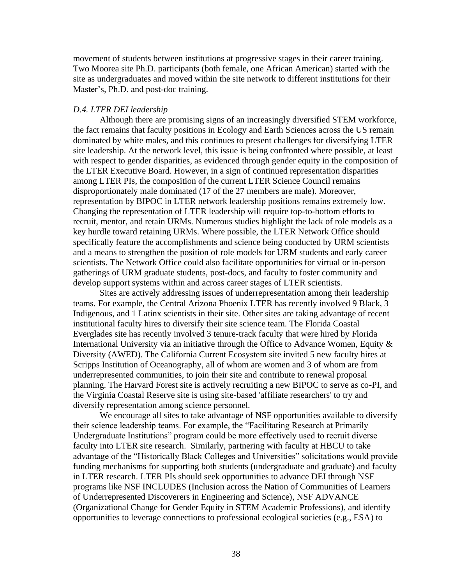movement of students between institutions at progressive stages in their career training. Two Moorea site Ph.D. participants (both female, one African American) started with the site as undergraduates and moved within the site network to different institutions for their Master's, Ph.D. and post-doc training.

#### *D.4. LTER DEI leadership*

Although there are promising signs of an increasingly diversified STEM workforce, the fact remains that faculty positions in Ecology and Earth Sciences across the US remain dominated by white males, and this continues to present challenges for diversifying LTER site leadership. At the network level, this issue is being confronted where possible, at least with respect to gender disparities, as evidenced through gender equity in the composition of the LTER Executive Board. However, in a sign of continued representation disparities among LTER PIs, the composition of the current LTER Science Council remains disproportionately male dominated (17 of the 27 members are male). Moreover, representation by BIPOC in LTER network leadership positions remains extremely low. Changing the representation of LTER leadership will require top-to-bottom efforts to recruit, mentor, and retain URMs. Numerous studies highlight the lack of role models as a key hurdle toward retaining URMs. Where possible, the LTER Network Office should specifically feature the accomplishments and science being conducted by URM scientists and a means to strengthen the position of role models for URM students and early career scientists. The Network Office could also facilitate opportunities for virtual or in-person gatherings of URM graduate students, post-docs, and faculty to foster community and develop support systems within and across career stages of LTER scientists.

 International University via an initiative through the Office to Advance Women, Equity & diversify representation among science personnel. Sites are actively addressing issues of underrepresentation among their leadership teams. For example, the Central Arizona Phoenix LTER has recently involved 9 Black, 3 Indigenous, and 1 Latinx scientists in their site. Other sites are taking advantage of recent institutional faculty hires to diversify their site science team. The Florida Coastal Everglades site has recently involved 3 tenure-track faculty that were hired by Florida Diversity (AWED). The California Current Ecosystem site invited 5 new faculty hires at Scripps Institution of Oceanography, all of whom are women and 3 of whom are from underrepresented communities, to join their site and contribute to renewal proposal planning. The Harvard Forest site is actively recruiting a new BIPOC to serve as co-PI, and the Virginia Coastal Reserve site is using site-based 'affiliate researchers' to try and

We encourage all sites to take advantage of NSF opportunities available to diversify their science leadership teams. For example, the "Facilitating Research at Primarily Undergraduate Institutions" program could be more effectively used to recruit diverse faculty into LTER site research. Similarly, partnering with faculty at HBCU to take advantage of the "Historically Black Colleges and Universities" solicitations would provide funding mechanisms for supporting both students (undergraduate and graduate) and faculty in LTER research. LTER PIs should seek opportunities to advance DEI through NSF programs like NSF INCLUDES (Inclusion across the Nation of Communities of Learners of Underrepresented Discoverers in Engineering and Science), NSF ADVANCE (Organizational Change for Gender Equity in STEM Academic Professions), and identify opportunities to leverage connections to professional ecological societies (e.g., ESA) to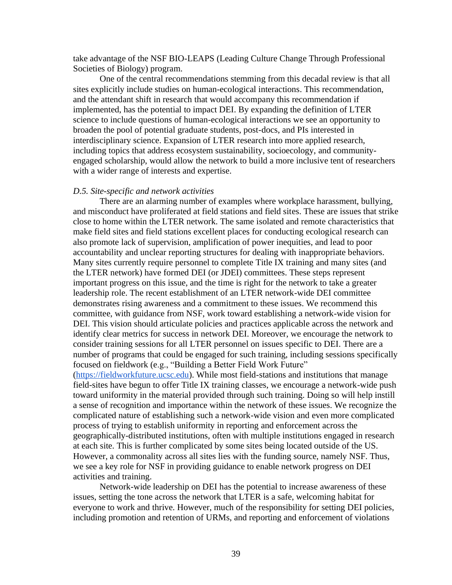take advantage of the NSF BIO-LEAPS (Leading Culture Change Through Professional Societies of Biology) program.

One of the central recommendations stemming from this decadal review is that all sites explicitly include studies on human-ecological interactions. This recommendation, and the attendant shift in research that would accompany this recommendation if implemented, has the potential to impact DEI. By expanding the definition of LTER science to include questions of human-ecological interactions we see an opportunity to broaden the pool of potential graduate students, post-docs, and PIs interested in interdisciplinary science. Expansion of LTER research into more applied research, including topics that address ecosystem sustainability, socioecology, and communityengaged scholarship, would allow the network to build a more inclusive tent of researchers with a wider range of interests and expertise.

#### *D.5. Site-specific and network activities*

There are an alarming number of examples where workplace harassment, bullying, and misconduct have proliferated at field stations and field sites. These are issues that strike close to home within the LTER network. The same isolated and remote characteristics that make field sites and field stations excellent places for conducting ecological research can also promote lack of supervision, amplification of power inequities, and lead to poor accountability and unclear reporting structures for dealing with inappropriate behaviors. Many sites currently require personnel to complete Title IX training and many sites (and the LTER network) have formed DEI (or JDEI) committees. These steps represent important progress on this issue, and the time is right for the network to take a greater leadership role. The recent establishment of an LTER network-wide DEI committee demonstrates rising awareness and a commitment to these issues. We recommend this committee, with guidance from NSF, work toward establishing a network-wide vision for DEI. This vision should articulate policies and practices applicable across the network and identify clear metrics for success in network DEI. Moreover, we encourage the network to consider training sessions for all LTER personnel on issues specific to DEI. There are a number of programs that could be engaged for such training, including sessions specifically focused on fieldwork (e.g., "Building a Better Field Work Future"

[\(https://fieldworkfuture.ucsc.edu\)](about:blank). While most field-stations and institutions that manage field-sites have begun to offer Title IX training classes, we encourage a network-wide push toward uniformity in the material provided through such training. Doing so will help instill a sense of recognition and importance within the network of these issues. We recognize the complicated nature of establishing such a network-wide vision and even more complicated process of trying to establish uniformity in reporting and enforcement across the geographically-distributed institutions, often with multiple institutions engaged in research at each site. This is further complicated by some sites being located outside of the US. However, a commonality across all sites lies with the funding source, namely NSF. Thus, we see a key role for NSF in providing guidance to enable network progress on DEI activities and training.

Network-wide leadership on DEI has the potential to increase awareness of these issues, setting the tone across the network that LTER is a safe, welcoming habitat for everyone to work and thrive. However, much of the responsibility for setting DEI policies, including promotion and retention of URMs, and reporting and enforcement of violations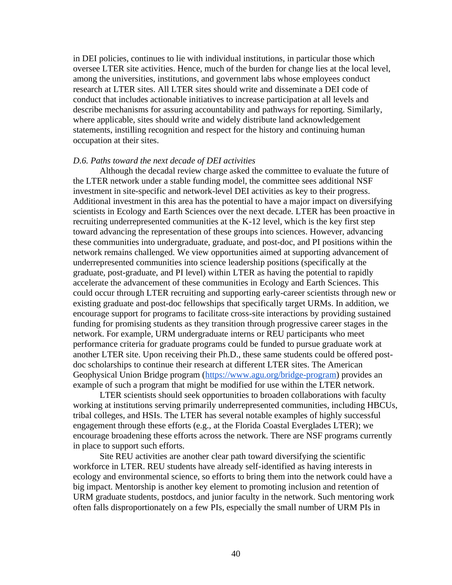oversee LTER site activities. Hence, much of the burden for change lies at the local level, in DEI policies, continues to lie with individual institutions, in particular those which among the universities, institutions, and government labs whose employees conduct research at LTER sites. All LTER sites should write and disseminate a DEI code of conduct that includes actionable initiatives to increase participation at all levels and describe mechanisms for assuring accountability and pathways for reporting. Similarly, where applicable, sites should write and widely distribute land acknowledgement statements, instilling recognition and respect for the history and continuing human occupation at their sites.

#### *D.6. Paths toward the next decade of DEI activities*

 underrepresented communities into science leadership positions (specifically at the example of such a program that might be modified for use within the LTER network. Although the decadal review charge asked the committee to evaluate the future of the LTER network under a stable funding model, the committee sees additional NSF investment in site-specific and network-level DEI activities as key to their progress. Additional investment in this area has the potential to have a major impact on diversifying scientists in Ecology and Earth Sciences over the next decade. LTER has been proactive in recruiting underrepresented communities at the K-12 level, which is the key first step toward advancing the representation of these groups into sciences. However, advancing these communities into undergraduate, graduate, and post-doc, and PI positions within the network remains challenged. We view opportunities aimed at supporting advancement of graduate, post-graduate, and PI level) within LTER as having the potential to rapidly accelerate the advancement of these communities in Ecology and Earth Sciences. This could occur through LTER recruiting and supporting early-career scientists through new or existing graduate and post-doc fellowships that specifically target URMs. In addition, we encourage support for programs to facilitate cross-site interactions by providing sustained funding for promising students as they transition through progressive career stages in the network. For example, URM undergraduate interns or REU participants who meet performance criteria for graduate programs could be funded to pursue graduate work at another LTER site. Upon receiving their Ph.D., these same students could be offered postdoc scholarships to continue their research at different LTER sites. The American Geophysical Union Bridge program [\(https://www.agu.org/bridge-program\)](https://www.agu.org/bridge-program) provides an

LTER scientists should seek opportunities to broaden collaborations with faculty working at institutions serving primarily underrepresented communities, including HBCUs, tribal colleges, and HSIs. The LTER has several notable examples of highly successful engagement through these efforts (e.g., at the Florida Coastal Everglades LTER); we encourage broadening these efforts across the network. There are NSF programs currently in place to support such efforts.

Site REU activities are another clear path toward diversifying the scientific workforce in LTER. REU students have already self-identified as having interests in ecology and environmental science, so efforts to bring them into the network could have a big impact. Mentorship is another key element to promoting inclusion and retention of URM graduate students, postdocs, and junior faculty in the network. Such mentoring work often falls disproportionately on a few PIs, especially the small number of URM PIs in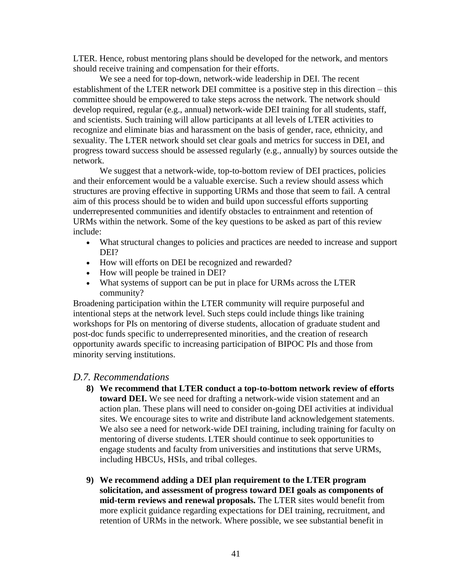LTER. Hence, robust mentoring plans should be developed for the network, and mentors should receive training and compensation for their efforts.

 progress toward success should be assessed regularly (e.g., annually) by sources outside the We see a need for top-down, network-wide leadership in DEI. The recent establishment of the LTER network DEI committee is a positive step in this direction – this committee should be empowered to take steps across the network. The network should develop required, regular (e.g., annual) network-wide DEI training for all students, staff, and scientists. Such training will allow participants at all levels of LTER activities to recognize and eliminate bias and harassment on the basis of gender, race, ethnicity, and sexuality. The LTER network should set clear goals and metrics for success in DEI, and network.

 and their enforcement would be a valuable exercise. Such a review should assess which We suggest that a network-wide, top-to-bottom review of DEI practices, policies structures are proving effective in supporting URMs and those that seem to fail. A central aim of this process should be to widen and build upon successful efforts supporting underrepresented communities and identify obstacles to entrainment and retention of URMs within the network. Some of the key questions to be asked as part of this review include:

- What structural changes to policies and practices are needed to increase and support DEI?
- How will efforts on DEI be recognized and rewarded?
- How will people be trained in DEI?
- What systems of support can be put in place for URMs across the LTER community?

Broadening participation within the LTER community will require purposeful and intentional steps at the network level. Such steps could include things like training workshops for PIs on mentoring of diverse students, allocation of graduate student and post-doc funds specific to underrepresented minorities, and the creation of research opportunity awards specific to increasing participation of BIPOC PIs and those from minority serving institutions.

### *D.7. Recommendations*

- **8) We recommend that LTER conduct a top-to-bottom network review of efforts toward DEI.** We see need for drafting a network-wide vision statement and an action plan. These plans will need to consider on-going DEI activities at individual sites. We encourage sites to write and distribute land acknowledgement statements. We also see a need for network-wide DEI training, including training for faculty on mentoring of diverse students. LTER should continue to seek opportunities to engage students and faculty from universities and institutions that serve URMs, including HBCUs, HSIs, and tribal colleges.
- **9) We recommend adding a DEI plan requirement to the LTER program solicitation, and assessment of progress toward DEI goals as components of mid-term reviews and renewal proposals.** The LTER sites would benefit from more explicit guidance regarding expectations for DEI training, recruitment, and retention of URMs in the network. Where possible, we see substantial benefit in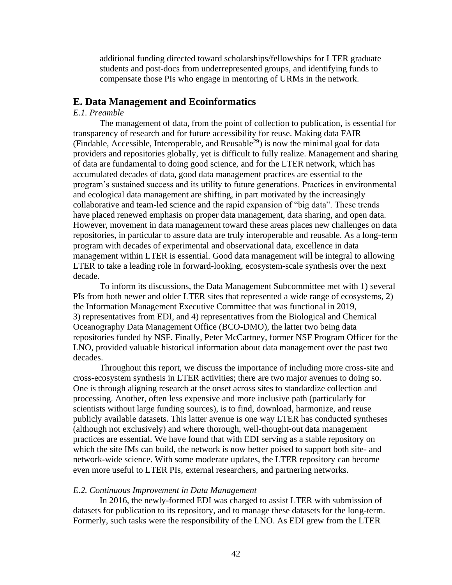additional funding directed toward scholarships/fellowships for LTER graduate students and post-docs from underrepresented groups, and identifying funds to compensate those PIs who engage in mentoring of URMs in the network.

#### **E. Data Management and Ecoinformatics**

#### *E.1. Preamble*

 accumulated decades of data, good data management practices are essential to the The management of data, from the point of collection to publication, is essential for transparency of research and for future accessibility for reuse. Making data FAIR (Findable, Accessible, Interoperable, and Reusable<sup>29</sup>) is now the minimal goal for data providers and repositories globally, yet is difficult to fully realize. Management and sharing of data are fundamental to doing good science, and for the LTER network, which has program's sustained success and its utility to future generations. Practices in environmental and ecological data management are shifting, in part motivated by the increasingly collaborative and team-led science and the rapid expansion of "big data". These trends have placed renewed emphasis on proper data management, data sharing, and open data. However, movement in data management toward these areas places new challenges on data repositories, in particular to assure data are truly interoperable and reusable. As a long-term program with decades of experimental and observational data, excellence in data management within LTER is essential. Good data management will be integral to allowing LTER to take a leading role in forward-looking, ecosystem-scale synthesis over the next decade.

To inform its discussions, the Data Management Subcommittee met with 1) several PIs from both newer and older LTER sites that represented a wide range of ecosystems, 2) the Information Management Executive Committee that was functional in 2019, 3) representatives from EDI, and 4) representatives from the Biological and Chemical Oceanography Data Management Office (BCO-DMO), the latter two being data repositories funded by NSF. Finally, Peter McCartney, former NSF Program Officer for the LNO, provided valuable historical information about data management over the past two decades.

Throughout this report, we discuss the importance of including more cross-site and cross-ecosystem synthesis in LTER activities; there are two major avenues to doing so. One is through aligning research at the onset across sites to standardize collection and processing. Another, often less expensive and more inclusive path (particularly for scientists without large funding sources), is to find, download, harmonize, and reuse publicly available datasets. This latter avenue is one way LTER has conducted syntheses (although not exclusively) and where thorough, well-thought-out data management practices are essential. We have found that with EDI serving as a stable repository on which the site IMs can build, the network is now better poised to support both site- and network-wide science. With some moderate updates, the LTER repository can become even more useful to LTER PIs, external researchers, and partnering networks.

#### *E.2. Continuous Improvement in Data Management*

In 2016, the newly-formed EDI was charged to assist LTER with submission of datasets for publication to its repository, and to manage these datasets for the long-term. Formerly, such tasks were the responsibility of the LNO. As EDI grew from the LTER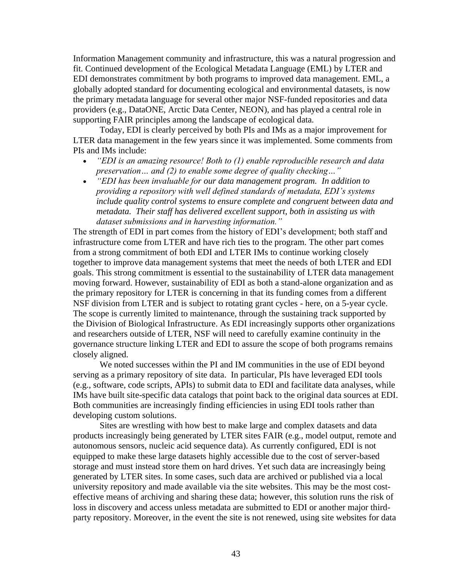Information Management community and infrastructure, this was a natural progression and fit. Continued development of the Ecological Metadata Language (EML) by LTER and EDI demonstrates commitment by both programs to improved data management. EML, a globally adopted standard for documenting ecological and environmental datasets, is now the primary metadata language for several other major NSF-funded repositories and data providers (e.g., DataONE, Arctic Data Center, NEON), and has played a central role in supporting FAIR principles among the landscape of ecological data.

Today, EDI is clearly perceived by both PIs and IMs as a major improvement for LTER data management in the few years since it was implemented. Some comments from PIs and IMs include:

- *"EDI is an amazing resource! Both to (1) enable reproducible research and data preservation… and (2) to enable some degree of quality checking…"*
- *"EDI has been invaluable for our data management program. In addition to providing a repository with well defined standards of metadata, EDI's systems include quality control systems to ensure complete and congruent between data and metadata. Their staff has delivered excellent support, both in assisting us with dataset submissions and in harvesting information."*

 together to improve data management systems that meet the needs of both LTER and EDI The strength of EDI in part comes from the history of EDI's development; both staff and infrastructure come from LTER and have rich ties to the program. The other part comes from a strong commitment of both EDI and LTER IMs to continue working closely goals. This strong commitment is essential to the sustainability of LTER data management moving forward. However, sustainability of EDI as both a stand-alone organization and as the primary repository for LTER is concerning in that its funding comes from a different NSF division from LTER and is subject to rotating grant cycles - here, on a 5-year cycle. The scope is currently limited to maintenance, through the sustaining track supported by the Division of Biological Infrastructure. As EDI increasingly supports other organizations and researchers outside of LTER, NSF will need to carefully examine continuity in the governance structure linking LTER and EDI to assure the scope of both programs remains closely aligned.

We noted successes within the PI and IM communities in the use of EDI beyond serving as a primary repository of site data. In particular, PIs have leveraged EDI tools (e.g., software, code scripts, APIs) to submit data to EDI and facilitate data analyses, while IMs have built site-specific data catalogs that point back to the original data sources at EDI. Both communities are increasingly finding efficiencies in using EDI tools rather than developing custom solutions.

 party repository. Moreover, in the event the site is not renewed, using site websites for data Sites are wrestling with how best to make large and complex datasets and data products increasingly being generated by LTER sites FAIR (e.g., model output, remote and autonomous sensors, nucleic acid sequence data). As currently configured, EDI is not equipped to make these large datasets highly accessible due to the cost of server-based storage and must instead store them on hard drives. Yet such data are increasingly being generated by LTER sites. In some cases, such data are archived or published via a local university repository and made available via the site websites. This may be the most costeffective means of archiving and sharing these data; however, this solution runs the risk of loss in discovery and access unless metadata are submitted to EDI or another major third-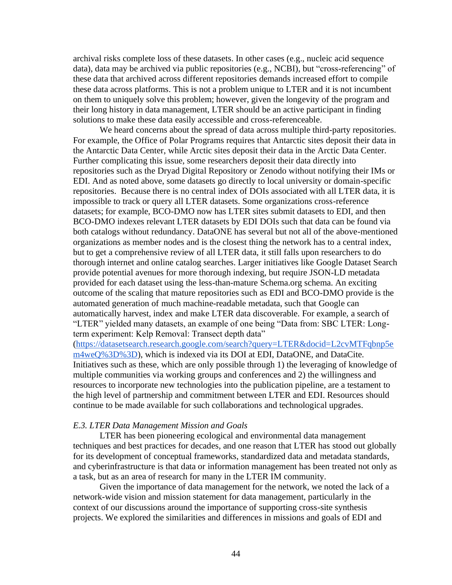these data across platforms. This is not a problem unique to LTER and it is not incumbent archival risks complete loss of these datasets. In other cases (e.g., nucleic acid sequence data), data may be archived via public repositories (e.g., NCBI), but "cross-referencing" of these data that archived across different repositories demands increased effort to compile on them to uniquely solve this problem; however, given the longevity of the program and their long history in data management, LTER should be an active participant in finding solutions to make these data easily accessible and cross-referenceable.

 repositories. Because there is no central index of DOIs associated with all LTER data, it is We heard concerns about the spread of data across multiple third-party repositories. For example, the Office of Polar Programs requires that Antarctic sites deposit their data in the Antarctic Data Center, while Arctic sites deposit their data in the Arctic Data Center. Further complicating this issue, some researchers deposit their data directly into repositories such as the Dryad Digital Repository or Zenodo without notifying their IMs or EDI. And as noted above, some datasets go directly to local university or domain-specific impossible to track or query all LTER datasets. Some organizations cross-reference datasets; for example, BCO-DMO now has LTER sites submit datasets to EDI, and then BCO-DMO indexes relevant LTER datasets by EDI DOIs such that data can be found via both catalogs without redundancy. DataONE has several but not all of the above-mentioned organizations as member nodes and is the closest thing the network has to a central index, but to get a comprehensive review of all LTER data, it still falls upon researchers to do thorough internet and online catalog searches. Larger initiatives like Google Dataset Search provide potential avenues for more thorough indexing, but require JSON-LD metadata provided for each dataset using the less-than-mature [Schema.org](https://Schema.org) schema. An exciting outcome of the scaling that mature repositories such as EDI and BCO-DMO provide is the automated generation of much machine-readable metadata, such that Google can automatically harvest, index and make LTER data discoverable. For example, a search of "LTER" yielded many datasets, an example of one being "Data from: SBC LTER: Longterm experiment: Kelp Removal: Transect depth data"

 resources to incorporate new technologies into the publication pipeline, are a testament to [\(https://datasetsearch.research.google.com/search?query=LTER&docid=L2cvMTFqbnp5e](https://datasetsearch.research.google.com/search?query=LTER&docid=L2cvMTFqbnp5em4weQ%3D%3D)  [m4weQ%3D%3D\)](https://datasetsearch.research.google.com/search?query=LTER&docid=L2cvMTFqbnp5em4weQ%3D%3D), which is indexed via its DOI at EDI, DataONE, and DataCite. Initiatives such as these, which are only possible through 1) the leveraging of knowledge of multiple communities via working groups and conferences and 2) the willingness and the high level of partnership and commitment between LTER and EDI. Resources should continue to be made available for such collaborations and technological upgrades.

#### *E.3. LTER Data Management Mission and Goals*

LTER has been pioneering ecological and environmental data management techniques and best practices for decades, and one reason that LTER has stood out globally for its development of conceptual frameworks, standardized data and metadata standards, and cyberinfrastructure is that data or information management has been treated not only as a task, but as an area of research for many in the LTER IM community.

 Given the importance of data management for the network, we noted the lack of a network-wide vision and mission statement for data management, particularly in the context of our discussions around the importance of supporting cross-site synthesis projects. We explored the similarities and differences in missions and goals of EDI and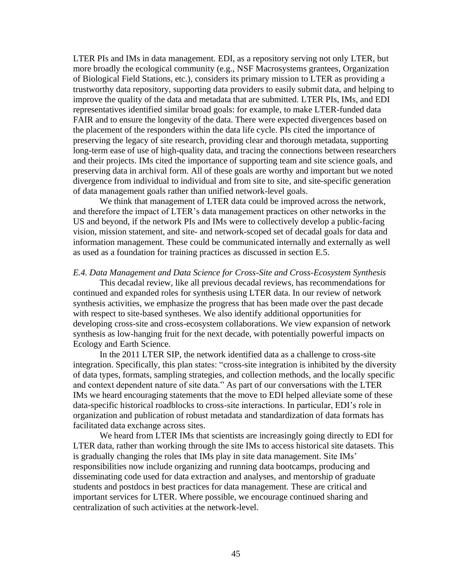LTER PIs and IMs in data management. EDI, as a repository serving not only LTER, but more broadly the ecological community (e.g., NSF Macrosystems grantees, Organization of Biological Field Stations, etc.), considers its primary mission to LTER as providing a trustworthy data repository, supporting data providers to easily submit data, and helping to improve the quality of the data and metadata that are submitted. LTER PIs, IMs, and EDI representatives identified similar broad goals: for example, to make LTER-funded data FAIR and to ensure the longevity of the data. There were expected divergences based on the placement of the responders within the data life cycle. PIs cited the importance of preserving the legacy of site research, providing clear and thorough metadata, supporting long-term ease of use of high-quality data, and tracing the connections between researchers and their projects. IMs cited the importance of supporting team and site science goals, and preserving data in archival form. All of these goals are worthy and important but we noted divergence from individual to individual and from site to site, and site-specific generation of data management goals rather than unified network-level goals.

 information management. These could be communicated internally and externally as well We think that management of LTER data could be improved across the network, and therefore the impact of LTER's data management practices on other networks in the US and beyond, if the network PIs and IMs were to collectively develop a public-facing vision, mission statement, and site- and network-scoped set of decadal goals for data and as used as a foundation for training practices as discussed in section E.5.

#### *E.4. Data Management and Data Science for Cross-Site and Cross-Ecosystem Synthesis*

This decadal review, like all previous decadal reviews, has recommendations for continued and expanded roles for synthesis using LTER data. In our review of network synthesis activities, we emphasize the progress that has been made over the past decade with respect to site-based syntheses. We also identify additional opportunities for developing cross-site and cross-ecosystem collaborations. We view expansion of network synthesis as low-hanging fruit for the next decade, with potentially powerful impacts on Ecology and Earth Science.

 IMs we heard encouraging statements that the move to EDI helped alleviate some of these In the 2011 LTER SIP, the network identified data as a challenge to cross-site integration. Specifically, this plan states: "cross-site integration is inhibited by the diversity of data types, formats, sampling strategies, and collection methods, and the locally specific and context dependent nature of site data." As part of our conversations with the LTER data-specific historical roadblocks to cross-site interactions. In particular, EDI's role in organization and publication of robust metadata and standardization of data formats has facilitated data exchange across sites.

 is gradually changing the roles that IMs play in site data management. Site IMs' We heard from LTER IMs that scientists are increasingly going directly to EDI for LTER data, rather than working through the site IMs to access historical site datasets. This responsibilities now include organizing and running data bootcamps, producing and disseminating code used for data extraction and analyses, and mentorship of graduate students and postdocs in best practices for data management. These are critical and important services for LTER. Where possible, we encourage continued sharing and centralization of such activities at the network-level.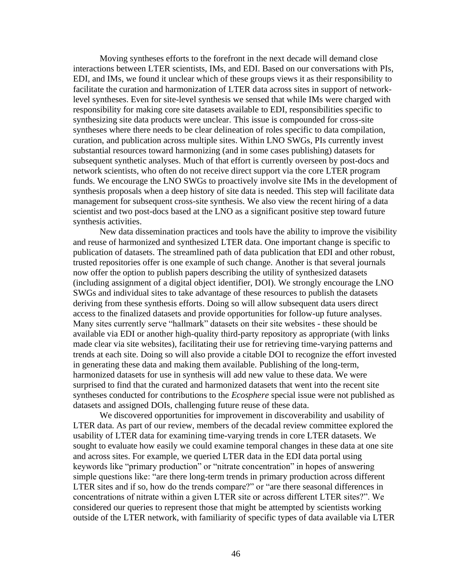Moving syntheses efforts to the forefront in the next decade will demand close interactions between LTER scientists, IMs, and EDI. Based on our conversations with PIs, EDI, and IMs, we found it unclear which of these groups views it as their responsibility to facilitate the curation and harmonization of LTER data across sites in support of networklevel syntheses. Even for site-level synthesis we sensed that while IMs were charged with responsibility for making core site datasets available to EDI, responsibilities specific to synthesizing site data products were unclear. This issue is compounded for cross-site syntheses where there needs to be clear delineation of roles specific to data compilation, curation, and publication across multiple sites. Within LNO SWGs, PIs currently invest substantial resources toward harmonizing (and in some cases publishing) datasets for subsequent synthetic analyses. Much of that effort is currently overseen by post-docs and network scientists, who often do not receive direct support via the core LTER program funds. We encourage the LNO SWGs to proactively involve site IMs in the development of synthesis proposals when a deep history of site data is needed. This step will facilitate data management for subsequent cross-site synthesis. We also view the recent hiring of a data scientist and two post-docs based at the LNO as a significant positive step toward future synthesis activities.

 (including assignment of a digital object identifier, DOI). We strongly encourage the LNO New data dissemination practices and tools have the ability to improve the visibility and reuse of harmonized and synthesized LTER data. One important change is specific to publication of datasets. The streamlined path of data publication that EDI and other robust, trusted repositories offer is one example of such change. Another is that several journals now offer the option to publish papers describing the utility of synthesized datasets SWGs and individual sites to take advantage of these resources to publish the datasets deriving from these synthesis efforts. Doing so will allow subsequent data users direct access to the finalized datasets and provide opportunities for follow-up future analyses. Many sites currently serve "hallmark" datasets on their site websites - these should be available via EDI or another high-quality third-party repository as appropriate (with links made clear via site websites), facilitating their use for retrieving time-varying patterns and trends at each site. Doing so will also provide a citable DOI to recognize the effort invested in generating these data and making them available. Publishing of the long-term, harmonized datasets for use in synthesis will add new value to these data. We were surprised to find that the curated and harmonized datasets that went into the recent site syntheses conducted for contributions to the *Ecosphere* special issue were not published as datasets and assigned DOIs, challenging future reuse of these data.

We discovered opportunities for improvement in discoverability and usability of LTER data. As part of our review, members of the decadal review committee explored the usability of LTER data for examining time-varying trends in core LTER datasets. We sought to evaluate how easily we could examine temporal changes in these data at one site and across sites. For example, we queried LTER data in the EDI data portal using keywords like "primary production" or "nitrate concentration" in hopes of answering simple questions like: "are there long-term trends in primary production across different LTER sites and if so, how do the trends compare?" or "are there seasonal differences in concentrations of nitrate within a given LTER site or across different LTER sites?". We considered our queries to represent those that might be attempted by scientists working outside of the LTER network, with familiarity of specific types of data available via LTER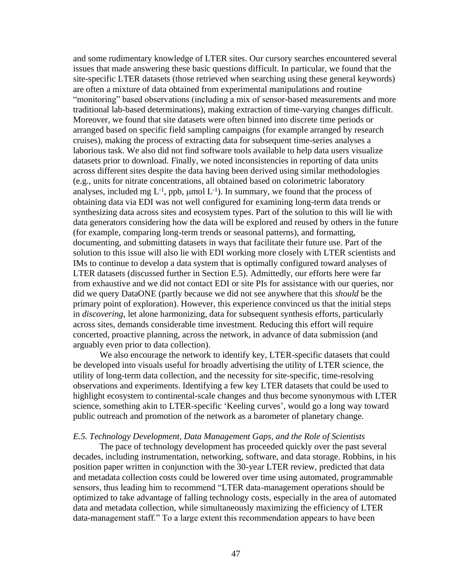and some rudimentary knowledge of LTER sites. Our cursory searches encountered several issues that made answering these basic questions difficult. In particular, we found that the site-specific LTER datasets (those retrieved when searching using these general keywords) are often a mixture of data obtained from experimental manipulations and routine "monitoring" based observations (including a mix of sensor-based measurements and more traditional lab-based determinations), making extraction of time-varying changes difficult. Moreover, we found that site datasets were often binned into discrete time periods or arranged based on specific field sampling campaigns (for example arranged by research cruises), making the process of extracting data for subsequent time-series analyses a laborious task. We also did not find software tools available to help data users visualize datasets prior to download. Finally, we noted inconsistencies in reporting of data units across different sites despite the data having been derived using similar methodologies (e.g., units for nitrate concentrations, all obtained based on colorimetric laboratory analyses, included mg  $L^{-1}$ , ppb,  $\mu$ mol  $L^{-1}$ ). In summary, we found that the process of obtaining data via EDI was not well configured for examining long-term data trends or synthesizing data across sites and ecosystem types. Part of the solution to this will lie with data generators considering how the data will be explored and reused by others in the future (for example, comparing long-term trends or seasonal patterns), and formatting, documenting, and submitting datasets in ways that facilitate their future use. Part of the solution to this issue will also lie with EDI working more closely with LTER scientists and IMs to continue to develop a data system that is optimally configured toward analyses of LTER datasets (discussed further in Section E.5). Admittedly, our efforts here were far from exhaustive and we did not contact EDI or site PIs for assistance with our queries, nor did we query DataONE (partly because we did not see anywhere that this *should* be the primary point of exploration). However, this experience convinced us that the initial steps in *discovering*, let alone harmonizing, data for subsequent synthesis efforts, particularly across sites, demands considerable time investment. Reducing this effort will require concerted, proactive planning, across the network, in advance of data submission (and arguably even prior to data collection).

 highlight ecosystem to continental-scale changes and thus become synonymous with LTER We also encourage the network to identify key, LTER-specific datasets that could be developed into visuals useful for broadly advertising the utility of LTER science, the utility of long-term data collection, and the necessity for site-specific, time-resolving observations and experiments. Identifying a few key LTER datasets that could be used to science, something akin to LTER-specific 'Keeling curves', would go a long way toward public outreach and promotion of the network as a barometer of planetary change.

#### *E.5. Technology Development, Data Management Gaps, and the Role of Scientists*

 data-management staff." To a large extent this recommendation appears to have been The pace of technology development has proceeded quickly over the past several decades, including instrumentation, networking, software, and data storage. Robbins, in his position paper written in conjunction with the 30-year LTER review, predicted that data and metadata collection costs could be lowered over time using automated, programmable sensors, thus leading him to recommend "LTER data-management operations should be optimized to take advantage of falling technology costs, especially in the area of automated data and metadata collection, while simultaneously maximizing the efficiency of LTER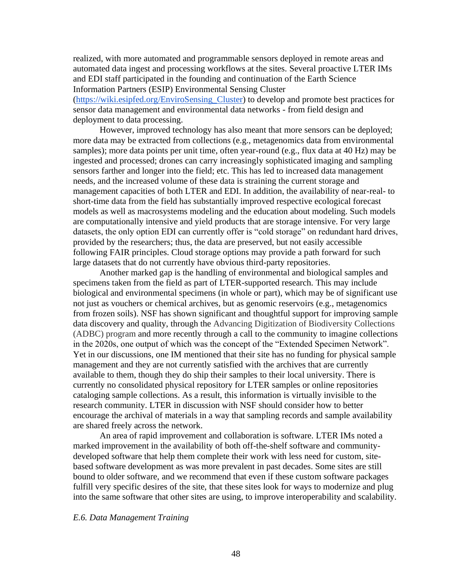deployment to data processing. realized, with more automated and programmable sensors deployed in remote areas and automated data ingest and processing workflows at the sites. Several proactive LTER IMs and EDI staff participated in the founding and continuation of the Earth Science Information Partners (ESIP) Environmental Sensing Cluster [\(https://wiki.esipfed.org/EnviroSensing\\_Cluster\)](https://wiki.esipfed.org/EnviroSensing_Cluster) to develop and promote best practices for sensor data management and environmental data networks - from field design and

However, improved technology has also meant that more sensors can be deployed; more data may be extracted from collections (e.g., metagenomics data from environmental samples); more data points per unit time, often year-round (e.g., flux data at 40 Hz) may be ingested and processed; drones can carry increasingly sophisticated imaging and sampling sensors farther and longer into the field; etc. This has led to increased data management needs, and the increased volume of these data is straining the current storage and management capacities of both LTER and EDI. In addition, the availability of near-real- to short-time data from the field has substantially improved respective ecological forecast models as well as macrosystems modeling and the education about modeling. Such models are computationally intensive and yield products that are storage intensive. For very large datasets, the only option EDI can currently offer is "cold storage" on redundant hard drives, provided by the researchers; thus, the data are preserved, but not easily accessible following FAIR principles. Cloud storage options may provide a path forward for such large datasets that do not currently have obvious third-party repositories.

 (ADBC) program and more recently through a call to the community to imagine collections available to them, though they do ship their samples to their local university. There is cataloging sample collections. As a result, this information is virtually invisible to the Another marked gap is the handling of environmental and biological samples and specimens taken from the field as part of LTER-supported research. This may include biological and environmental specimens (in whole or part), which may be of significant use not just as vouchers or chemical archives, but as genomic reservoirs (e.g., metagenomics from frozen soils). NSF has shown significant and thoughtful support for improving sample data discovery and quality, through the Advancing Digitization of Biodiversity Collections in the 2020s, one output of which was the concept of the "Extended Specimen Network". Yet in our discussions, one IM mentioned that their site has no funding for physical sample management and they are not currently satisfied with the archives that are currently currently no consolidated physical repository for LTER samples or online repositories research community. LTER in discussion with NSF should consider how to better encourage the archival of materials in a way that sampling records and sample availability are shared freely across the network.

An area of rapid improvement and collaboration is software. LTER IMs noted a marked improvement in the availability of both off-the-shelf software and communitydeveloped software that help them complete their work with less need for custom, sitebased software development as was more prevalent in past decades. Some sites are still bound to older software, and we recommend that even if these custom software packages fulfill very specific desires of the site, that these sites look for ways to modernize and plug into the same software that other sites are using, to improve interoperability and scalability.

#### *E.6. Data Management Training*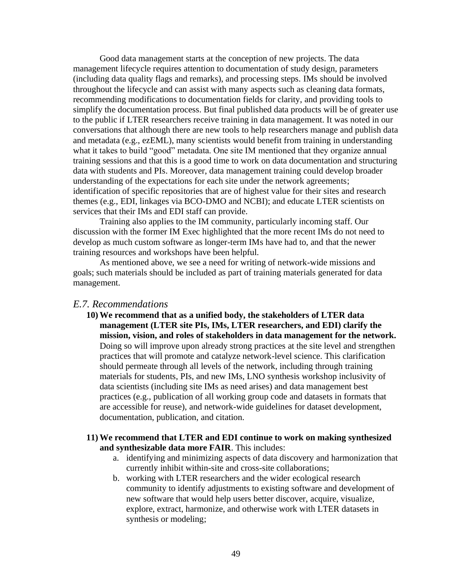what it takes to build "good" metadata. One site IM mentioned that they organize annual Good data management starts at the conception of new projects. The data management lifecycle requires attention to documentation of study design, parameters (including data quality flags and remarks), and processing steps. IMs should be involved throughout the lifecycle and can assist with many aspects such as cleaning data formats, recommending modifications to documentation fields for clarity, and providing tools to simplify the documentation process. But final published data products will be of greater use to the public if LTER researchers receive training in data management. It was noted in our conversations that although there are new tools to help researchers manage and publish data and metadata (e.g., ezEML), many scientists would benefit from training in understanding training sessions and that this is a good time to work on data documentation and structuring data with students and PIs. Moreover, data management training could develop broader understanding of the expectations for each site under the network agreements; identification of specific repositories that are of highest value for their sites and research themes (e.g., EDI, linkages via BCO-DMO and NCBI); and educate LTER scientists on services that their IMs and EDI staff can provide.

Training also applies to the IM community, particularly incoming staff. Our discussion with the former IM Exec highlighted that the more recent IMs do not need to develop as much custom software as longer-term IMs have had to, and that the newer training resources and workshops have been helpful.

As mentioned above, we see a need for writing of network-wide missions and goals; such materials should be included as part of training materials generated for data management.

#### *E.7. Recommendations*

**10) We recommend that as a unified body, the stakeholders of LTER data management (LTER site PIs, IMs, LTER researchers, and EDI) clarify the mission, vision, and roles of stakeholders in data management for the network.**  Doing so will improve upon already strong practices at the site level and strengthen practices that will promote and catalyze network-level science. This clarification should permeate through all levels of the network, including through training materials for students, PIs, and new IMs, LNO synthesis workshop inclusivity of data scientists (including site IMs as need arises) and data management best practices (e.g., publication of all working group code and datasets in formats that are accessible for reuse), and network-wide guidelines for dataset development, documentation, publication, and citation.

#### **11) We recommend that LTER and EDI continue to work on making synthesized and synthesizable data more FAIR**. This includes:

- a. identifying and minimizing aspects of data discovery and harmonization that currently inhibit within-site and cross-site collaborations;
- b. working with LTER researchers and the wider ecological research community to identify adjustments to existing software and development of new software that would help users better discover, acquire, visualize, explore, extract, harmonize, and otherwise work with LTER datasets in synthesis or modeling;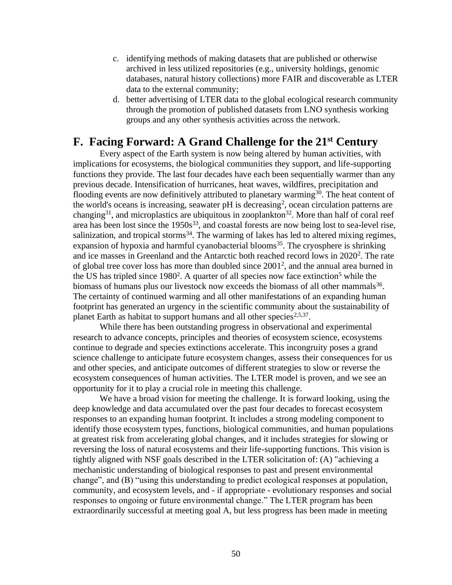- c. identifying methods of making datasets that are published or otherwise archived in less utilized repositories (e.g., university holdings, genomic databases, natural history collections) more FAIR and discoverable as LTER data to the external community;
- d. better advertising of LTER data to the global ecological research community through the promotion of published datasets from LNO synthesis working groups and any other synthesis activities across the network.

## **F. Facing Forward: A Grand Challenge for the 21st Century**

Every aspect of the Earth system is now being altered by human activities, with implications for ecosystems, the biological communities they support, and life-supporting functions they provide. The last four decades have each been sequentially warmer than any previous decade. Intensification of hurricanes, heat waves, wildfires, precipitation and flooding events are now definitively attributed to planetary warming<sup>30</sup>. The heat content of the world's oceans is increasing, seawater  $pH$  is decreasing<sup>2</sup>, ocean circulation patterns are changing<sup>31</sup>, and microplastics are ubiquitous in zooplankton<sup>32</sup>. More than half of coral reef area has been lost since the  $1950s^{33}$ , and coastal forests are now being lost to sea-level rise, salinization, and tropical storms $34$ . The warming of lakes has led to altered mixing regimes, expansion of hypoxia and harmful cyanobacterial blooms<sup>35</sup>. The cryosphere is shrinking and ice masses in Greenland and the Antarctic both reached record lows in 2020<sup>2</sup>. The rate of global tree cover loss has more than doubled since 20012, and the annual area burned in the US has tripled since  $1980<sup>2</sup>$ . A quarter of all species now face extinction<sup>5</sup> while the biomass of humans plus our livestock now exceeds the biomass of all other mammals<sup>36</sup>. The certainty of continued warming and all other manifestations of an expanding human footprint has generated an urgency in the scientific community about the sustainability of planet Earth as habitat to support humans and all other species<sup>2,5,37</sup>.

 and other species, and anticipate outcomes of different strategies to slow or reverse the While there has been outstanding progress in observational and experimental research to advance concepts, principles and theories of ecosystem science, ecosystems continue to degrade and species extinctions accelerate. This incongruity poses a grand science challenge to anticipate future ecosystem changes, assess their consequences for us ecosystem consequences of human activities. The LTER model is proven, and we see an opportunity for it to play a crucial role in meeting this challenge.

 We have a broad vision for meeting the challenge. It is forward looking, using the deep knowledge and data accumulated over the past four decades to forecast ecosystem responses to an expanding human footprint. It includes a strong modeling component to identify those ecosystem types, functions, biological communities, and human populations at greatest risk from accelerating global changes, and it includes strategies for slowing or reversing the loss of natural ecosystems and their life-supporting functions. This vision is tightly aligned with NSF goals described in the LTER solicitation of: (A) "achieving a mechanistic understanding of biological responses to past and present environmental change", and (B) "using this understanding to predict ecological responses at population, community, and ecosystem levels, and - if appropriate - evolutionary responses and social responses to ongoing or future environmental change." The LTER program has been extraordinarily successful at meeting goal A, but less progress has been made in meeting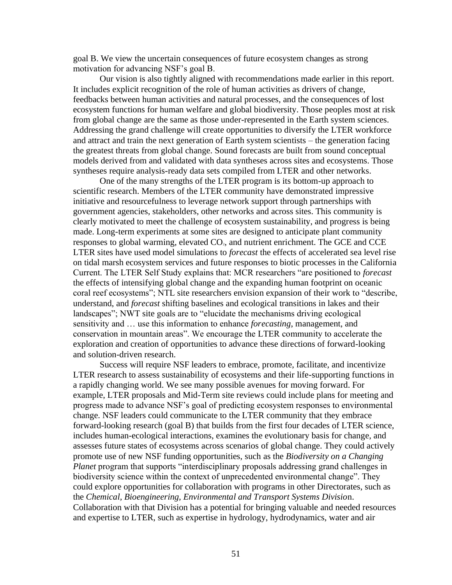goal B. We view the uncertain consequences of future ecosystem changes as strong motivation for advancing NSF's goal B.

 from global change are the same as those under-represented in the Earth system sciences. Our vision is also tightly aligned with recommendations made earlier in this report. It includes explicit recognition of the role of human activities as drivers of change, feedbacks between human activities and natural processes, and the consequences of lost ecosystem functions for human welfare and global biodiversity. Those peoples most at risk Addressing the grand challenge will create opportunities to diversify the LTER workforce and attract and train the next generation of Earth system scientists – the generation facing the greatest threats from global change. Sound forecasts are built from sound conceptual models derived from and validated with data syntheses across sites and ecosystems. Those syntheses require analysis-ready data sets compiled from LTER and other networks.

One of the many strengths of the LTER program is its bottom-up approach to scientific research. Members of the LTER community have demonstrated impressive initiative and resourcefulness to leverage network support through partnerships with government agencies, stakeholders, other networks and across sites. This community is clearly motivated to meet the challenge of ecosystem sustainability, and progress is being made. Long-term experiments at some sites are designed to anticipate plant community responses to global warming, elevated CO<sub>2</sub>, and nutrient enrichment. The GCE and CCE LTER sites have used model simulations to *forecast* the effects of accelerated sea level rise on tidal marsh ecosystem services and future responses to biotic processes in the California Current. The LTER Self Study explains that: MCR researchers "are positioned to *forecast*  the effects of intensifying global change and the expanding human footprint on oceanic coral reef ecosystems"; NTL site researchers envision expansion of their work to "describe, understand, and *forecast* shifting baselines and ecological transitions in lakes and their landscapes"; NWT site goals are to "elucidate the mechanisms driving ecological sensitivity and … use this information to enhance *forecasting*, management, and conservation in mountain areas". We encourage the LTER community to accelerate the exploration and creation of opportunities to advance these directions of forward-looking and solution-driven research.

Success will require NSF leaders to embrace, promote, facilitate, and incentivize LTER research to assess sustainability of ecosystems and their life-supporting functions in a rapidly changing world. We see many possible avenues for moving forward. For example, LTER proposals and Mid-Term site reviews could include plans for meeting and progress made to advance NSF's goal of predicting ecosystem responses to environmental change. NSF leaders could communicate to the LTER community that they embrace forward-looking research (goal B) that builds from the first four decades of LTER science, includes human-ecological interactions, examines the evolutionary basis for change, and assesses future states of ecosystems across scenarios of global change. They could actively promote use of new NSF funding opportunities, such as the *Biodiversity on a Changing Planet* program that supports "interdisciplinary proposals addressing grand challenges in biodiversity science within the context of unprecedented environmental change". They could explore opportunities for collaboration with programs in other Directorates, such as the *Chemical, Bioengineering, Environmental and Transport Systems Divisio*n. Collaboration with that Division has a potential for bringing valuable and needed resources and expertise to LTER, such as expertise in hydrology, hydrodynamics, water and air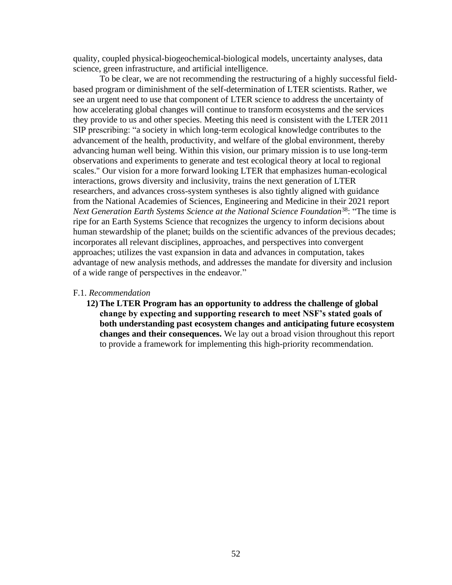quality, coupled physical-biogeochemical-biological models, uncertainty analyses, data science, green infrastructure, and artificial intelligence.

 SIP prescribing: "a society in which long-term ecological knowledge contributes to the observations and experiments to generate and test ecological theory at local to regional *Next Generation Earth Systems Science at the National Science Foundation*38: "The time is of a wide range of perspectives in the endeavor." To be clear, we are not recommending the restructuring of a highly successful fieldbased program or diminishment of the self-determination of LTER scientists. Rather, we see an urgent need to use that component of LTER science to address the uncertainty of how accelerating global changes will continue to transform ecosystems and the services they provide to us and other species. Meeting this need is consistent with the LTER 2011 advancement of the health, productivity, and welfare of the global environment, thereby advancing human well being. Within this vision, our primary mission is to use long-term scales." Our vision for a more forward looking LTER that emphasizes human-ecological interactions, grows diversity and inclusivity, trains the next generation of LTER researchers, and advances cross-system syntheses is also tightly aligned with guidance from the National Academies of Sciences, Engineering and Medicine in their 2021 report ripe for an Earth Systems Science that recognizes the urgency to inform decisions about human stewardship of the planet; builds on the scientific advances of the previous decades; incorporates all relevant disciplines, approaches, and perspectives into convergent approaches; utilizes the vast expansion in data and advances in computation, takes advantage of new analysis methods, and addresses the mandate for diversity and inclusion

#### F.1. *Recommendation*

**12) The LTER Program has an opportunity to address the challenge of global change by expecting and supporting research to meet NSF's stated goals of both understanding past ecosystem changes and anticipating future ecosystem changes and their consequences.** We lay out a broad vision throughout this report to provide a framework for implementing this high-priority recommendation.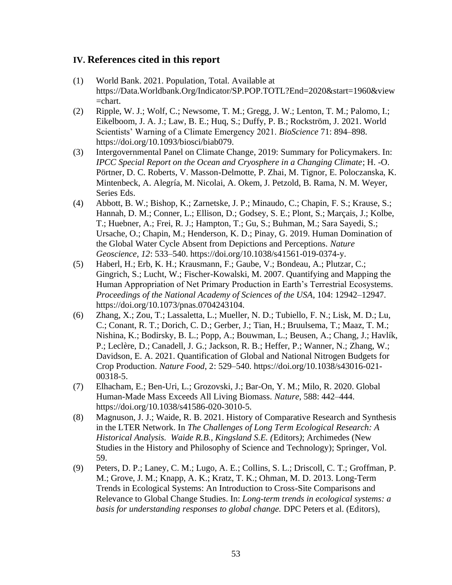## **IV. References cited in this report**

- (1) World Bank. 2021. Population, Total. Available at <https://Data.Worldbank.Org/Indicator/SP.POP.TOTL?End=2020&start=1960&view> =chart.
- (2) Ripple, W. J.; Wolf, C.; Newsome, T. M.; Gregg, J. W.; Lenton, T. M.; Palomo, I.; Eikelboom, J. A. J.; Law, B. E.; Huq, S.; Duffy, P. B.; Rockström, J. 2021. World Scientists' Warning of a Climate Emergency 2021. *BioScience* 71: 894–898. <https://doi.org/10.1093/biosci/biab079>.
- (3) Intergovernmental Panel on Climate Change, 2019: Summary for Policymakers. In: *IPCC Special Report on the Ocean and Cryosphere in a Changing Climate*; H. -O. Pörtner, D. C. Roberts, V. Masson-Delmotte, P. Zhai, M. Tignor, E. Poloczanska, K. Mintenbeck, A. Alegría, M. Nicolai, A. Okem, J. Petzold, B. Rama, N. M. Weyer, Series Eds.
- (4) Abbott, B. W.; Bishop, K.; Zarnetske, J. P.; Minaudo, C.; Chapin, F. S.; Krause, S.; Hannah, D. M.; Conner, L.; Ellison, D.; Godsey, S. E.; Plont, S.; Marçais, J.; Kolbe, T.; Huebner, A.; Frei, R. J.; Hampton, T.; Gu, S.; Buhman, M.; Sara Sayedi, S.; Ursache, O.; Chapin, M.; Henderson, K. D.; Pinay, G. 2019. Human Domination of the Global Water Cycle Absent from Depictions and Perceptions. *Nature Geoscience*, *12*: 533–540. <https://doi.org/10.1038/s41561-019-0374-y>.
- (5) Haberl, H.; Erb, K. H.; Krausmann, F.; Gaube, V.; Bondeau, A.; Plutzar, C.; Gingrich, S.; Lucht, W.; Fischer-Kowalski, M. 2007. Quantifying and Mapping the Human Appropriation of Net Primary Production in Earth's Terrestrial Ecosystems. *Proceedings of the National Academy of Sciences of the USA*, 104: 12942–12947. [https://doi.org/10.1073/pnas.0704243104.](https://doi.org/10.1073/pnas.0704243104)
- C.; Conant, R. T.; Dorich, C. D.; Gerber, J.; Tian, H.; Bruulsema, T.; Maaz, T. M.; P.; Leclère, D.; Canadell, J. G.; Jackson, R. B.; Heffer, P.; Wanner, N.; Zhang, W.; (6) Zhang, X.; Zou, T.; Lassaletta, L.; Mueller, N. D.; Tubiello, F. N.; Lisk, M. D.; Lu, Nishina, K.; Bodirsky, B. L.; Popp, A.; Bouwman, L.; Beusen, A.; Chang, J.; Havlík, Davidson, E. A. 2021. Quantification of Global and National Nitrogen Budgets for Crop Production. *Nature Food*, 2: 529–540. [https://doi.org/10.1038/s43016-021-](https://doi.org/10.1038/s43016-021) 00318-5.
- (7) Elhacham, E.; Ben-Uri, L.; Grozovski, J.; Bar-On, Y. M.; Milo, R. 2020. Global Human-Made Mass Exceeds All Living Biomass. *Nature*, 588: 442–444. <https://doi.org/10.1038/s41586-020-3010-5>.
- in the LTER Network. In *The Challenges of Long Term Ecological Research: A*  (8) Magnuson, J. J.; Waide, R. B. 2021. History of Comparative Research and Synthesis *Historical Analysis. Waide R.B., Kingsland S.E. (*Editors*)*; Archimedes (New Studies in the History and Philosophy of Science and Technology); Springer, Vol. 59.
- (9) Peters, D. P.; Laney, C. M.; Lugo, A. E.; Collins, S. L.; Driscoll, C. T.; Groffman, P. M.; Grove, J. M.; Knapp, A. K.; Kratz, T. K.; Ohman, M. D. 2013. Long-Term Trends in Ecological Systems: An Introduction to Cross-Site Comparisons and Relevance to Global Change Studies. In: *Long-term trends in ecological systems: a basis for understanding responses to global change.* DPC Peters et al. (Editors),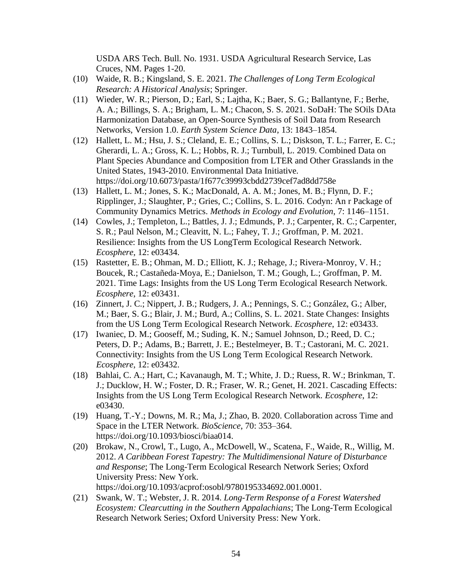USDA ARS Tech. Bull. No. 1931. USDA Agricultural Research Service, Las Cruces, NM. Pages 1-20.

- (10) Waide, R. B.; Kingsland, S. E. 2021. *The Challenges of Long Term Ecological Research: A Historical Analysis*; Springer.
- (11) Wieder, W. R.; Pierson, D.; Earl, S.; Lajtha, K.; Baer, S. G.; Ballantyne, F.; Berhe, A. A.; Billings, S. A.; Brigham, L. M.; Chacon, S. S. 2021. SoDaH: The SOils DAta Harmonization Database, an Open-Source Synthesis of Soil Data from Research Networks, Version 1.0. *Earth System Science Data*, 13: 1843–1854.
- (12) Hallett, L. M.; Hsu, J. S.; Cleland, E. E.; Collins, S. L.; Diskson, T. L.; Farrer, E. C.; Gherardi, L. A.; Gross, K. L.; Hobbs, R. J.; Turnbull, L. 2019. Combined Data on Plant Species Abundance and Composition from LTER and Other Grasslands in the United States, 1943-2010. Environmental Data Initiative. <https://doi.org/10.6073/pasta/1f677c39993cbdd2739cef7ad8dd758e>
- (13) Hallett, L. M.; Jones, S. K.; MacDonald, A. A. M.; Jones, M. B.; Flynn, D. F.; Ripplinger, J.; Slaughter, P.; Gries, C.; Collins, S. L. 2016. Codyn: An r Package of Community Dynamics Metrics. *Methods in Ecology and Evolution*, 7: 1146–1151.
- (14) Cowles, J.; Templeton, L.; Battles, J. J.; Edmunds, P. J.; Carpenter, R. C.; Carpenter, S. R.; Paul Nelson, M.; Cleavitt, N. L.; Fahey, T. J.; Groffman, P. M. 2021. Resilience: Insights from the US LongTerm Ecological Research Network. *Ecosphere*, 12: e03434.
- (15) Rastetter, E. B.; Ohman, M. D.; Elliott, K. J.; Rehage, J.; Rivera‐Monroy, V. H.; Boucek, R.; Castañeda‐Moya, E.; Danielson, T. M.; Gough, L.; Groffman, P. M. 2021. Time Lags: Insights from the US Long Term Ecological Research Network. *Ecosphere*, 12: e03431.
- (16) Zinnert, J. C.; Nippert, J. B.; Rudgers, J. A.; Pennings, S. C.; González, G.; Alber, M.; Baer, S. G.; Blair, J. M.; Burd, A.; Collins, S. L. 2021. State Changes: Insights from the US Long Term Ecological Research Network. *Ecosphere*, 12: e03433.
- (17) Iwaniec, D. M.; Gooseff, M.; Suding, K. N.; Samuel Johnson, D.; Reed, D. C.; Peters, D. P.; Adams, B.; Barrett, J. E.; Bestelmeyer, B. T.; Castorani, M. C. 2021. Connectivity: Insights from the US Long Term Ecological Research Network. *Ecosphere*, 12: e03432.
- (18) Bahlai, C. A.; Hart, C.; Kavanaugh, M. T.; White, J. D.; Ruess, R. W.; Brinkman, T. J.; Ducklow, H. W.; Foster, D. R.; Fraser, W. R.; Genet, H. 2021. Cascading Effects: Insights from the US Long Term Ecological Research Network. *Ecosphere*, 12: e03430.
- (19) Huang, T.-Y.; Downs, M. R.; Ma, J.; Zhao, B. 2020. Collaboration across Time and Space in the LTER Network. *BioScience*, 70: 353–364. <https://doi.org/10.1093/biosci/biaa014>.
- (20) Brokaw, N., Crowl, T., Lugo, A., McDowell, W., Scatena, F., Waide, R., Willig, M. 2012. *A Caribbean Forest Tapestry: The Multidimensional Nature of Disturbance and Response*; The Long-Term Ecological Research Network Series; Oxford University Press: New York. <https://doi.org/10.1093/acprof:osobl/9780195334692.001.0001>.
- (21) Swank, W. T.; Webster, J. R. 2014. *Long-Term Response of a Forest Watershed Ecosystem: Clearcutting in the Southern Appalachians*; The Long-Term Ecological Research Network Series; Oxford University Press: New York.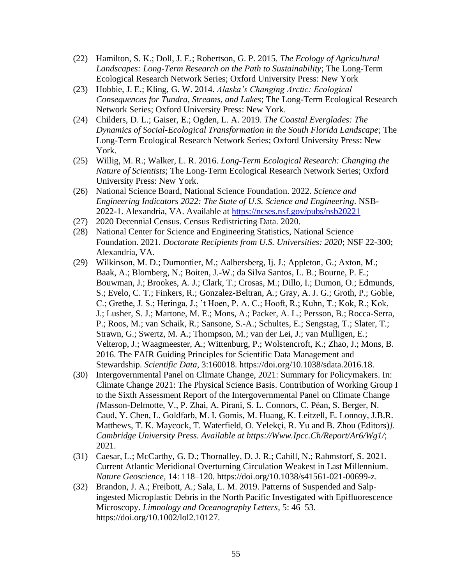- (22) Hamilton, S. K.; Doll, J. E.; Robertson, G. P. 2015. *The Ecology of Agricultural Landscapes: Long-Term Research on the Path to Sustainability*; The Long-Term Ecological Research Network Series; Oxford University Press: New York
- *Consequences for Tundra, Streams, and Lakes*; The Long-Term Ecological Research (23) Hobbie, J. E.; Kling, G. W. 2014. *Alaska's Changing Arctic: Ecological* Network Series; Oxford University Press: New York.
- Long-Term Ecological Research Network Series; Oxford University Press: New (24) Childers, D. L.; Gaiser, E.; Ogden, L. A. 2019. *The Coastal Everglades: The Dynamics of Social-Ecological Transformation in the South Florida Landscape*; The York.
- (25) Willig, M. R.; Walker, L. R. 2016. *Long-Term Ecological Research: Changing the Nature of Scientists*; The Long-Term Ecological Research Network Series; Oxford University Press: New York.
- (26) National Science Board, National Science Foundation. 2022. *Science and Engineering Indicators 2022: The State of U.S. Science and Engineering*. NSB-2022-1. Alexandria, VA. Available at<https://ncses.nsf.gov/pubs/nsb20221>
- (27) 2020 Decennial Census. Census Redistricting Data. 2020.
- (28) National Center for Science and Engineering Statistics, National Science Foundation. 2021. *Doctorate Recipients from U.S. Universities: 2020*; NSF 22-300; Alexandria, VA.
- S.; Evelo, C. T.; Finkers, R.; Gonzalez-Beltran, A.; Gray, A. J. G.; Groth, P.; Goble, (29) Wilkinson, M. D.; Dumontier, M.; Aalbersberg, Ij. J.; Appleton, G.; Axton, M.; Baak, A.; Blomberg, N.; Boiten, J.-W.; da Silva Santos, L. B.; Bourne, P. E.; Bouwman, J.; Brookes, A. J.; Clark, T.; Crosas, M.; Dillo, I.; Dumon, O.; Edmunds, C.; Grethe, J. S.; Heringa, J.; 't Hoen, P. A. C.; Hooft, R.; Kuhn, T.; Kok, R.; Kok, J.; Lusher, S. J.; Martone, M. E.; Mons, A.; Packer, A. L.; Persson, B.; Rocca-Serra, P.; Roos, M.; van Schaik, R.; Sansone, S.-A.; Schultes, E.; Sengstag, T.; Slater, T.; Strawn, G.; Swertz, M. A.; Thompson, M.; van der Lei, J.; van Mulligen, E.; Velterop, J.; Waagmeester, A.; Wittenburg, P.; Wolstencroft, K.; Zhao, J.; Mons, B. 2016. The FAIR Guiding Principles for Scientific Data Management and Stewardship. *Scientific Data*, 3:160018.<https://doi.org/10.1038/sdata.2016.18>.
- (30) Intergovernmental Panel on Climate Change, 2021: Summary for Policymakers. In: Climate Change 2021: The Physical Science Basis. Contribution of Working Group I to the Sixth Assessment Report of the Intergovernmental Panel on Climate Change *[*Masson-Delmotte, V., P. Zhai, A. Pirani, S. L. Connors, C. Péan, S. Berger, N. Caud, Y. Chen, L. Goldfarb, M. I. Gomis, M. Huang, K. Leitzell, E. Lonnoy, J.B.R. Matthews, T. K. Maycock, T. Waterfield, O. Yelekçi, R. Yu and B. Zhou (Editors)*]. Cambridge University Press. Available at <https://Www.Ipcc.Ch/Report/Ar6/Wg1>/*; 2021.
- (31) Caesar, L.; McCarthy, G. D.; Thornalley, D. J. R.; Cahill, N.; Rahmstorf, S. 2021. Current Atlantic Meridional Overturning Circulation Weakest in Last Millennium. *Nature Geoscience*, 14: 118–120. [https://doi.org/10.1038/s41561-021-00699-z.](https://doi.org/10.1038/s41561-021-00699-z)
- (32) Brandon, J. A.; Freibott, A.; Sala, L. M. 2019. Patterns of Suspended and Salp‐ ingested Microplastic Debris in the North Pacific Investigated with Epifluorescence Microscopy. *Limnology and Oceanography Letters*, 5: 46–53. <https://doi.org/10.1002/lol2.10127>.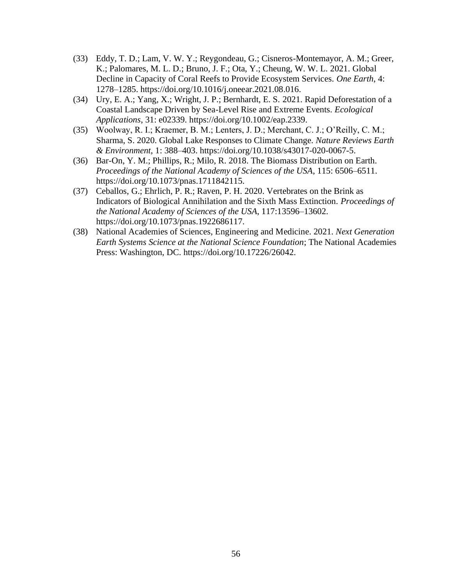- (33) Eddy, T. D.; Lam, V. W. Y.; Reygondeau, G.; Cisneros-Montemayor, A. M.; Greer, K.; Palomares, M. L. D.; Bruno, J. F.; Ota, Y.; Cheung, W. W. L. 2021. Global Decline in Capacity of Coral Reefs to Provide Ecosystem Services. *One Earth*, 4: 1278–1285.<https://doi.org/10.1016/j.oneear.2021.08.016>.
- (34) Ury, E. A.; Yang, X.; Wright, J. P.; Bernhardt, E. S. 2021. Rapid Deforestation of a Coastal Landscape Driven by Sea-Level Rise and Extreme Events. *Ecological Applications*, 31: e02339. [https://doi.org/10.1002/eap.2339.](https://doi.org/10.1002/eap.2339)
- (35) Woolway, R. I.; Kraemer, B. M.; Lenters, J. D.; Merchant, C. J.; O'Reilly, C. M.; Sharma, S. 2020. Global Lake Responses to Climate Change. *Nature Reviews Earth & Environment*, 1: 388–403. <https://doi.org/10.1038/s43017-020-0067-5>.
- (36) Bar-On, Y. M.; Phillips, R.; Milo, R. 2018. The Biomass Distribution on Earth. *Proceedings of the National Academy of Sciences of the USA*, 115: 6506–6511. [https://doi.org/10.1073/pnas.1711842115.](https://doi.org/10.1073/pnas.1711842115)
- (37) Ceballos, G.; Ehrlich, P. R.; Raven, P. H. 2020. Vertebrates on the Brink as Indicators of Biological Annihilation and the Sixth Mass Extinction. *Proceedings of the National Academy of Sciences of the USA*, 117:13596–13602. [https://doi.org/10.1073/pnas.1922686117.](https://doi.org/10.1073/pnas.1922686117)
- (38) National Academies of Sciences, Engineering and Medicine. 2021. *Next Generation Earth Systems Science at the National Science Foundation*; The National Academies Press: Washington, DC. <https://doi.org/10.17226/26042>.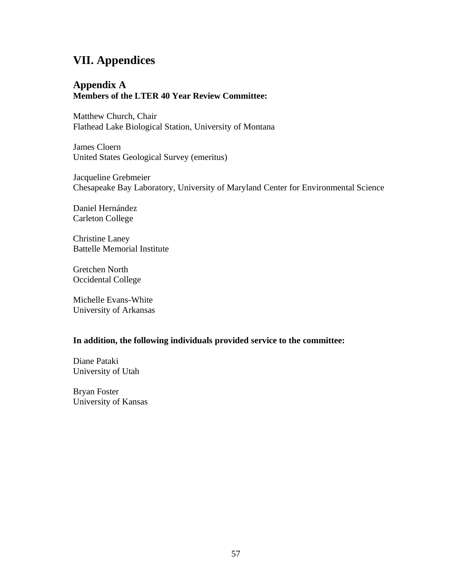## **VII. Appendices**

## **Appendix A Members of the LTER 40 Year Review Committee:**

Matthew Church, Chair Flathead Lake Biological Station, University of Montana

James Cloern United States Geological Survey (emeritus)

Jacqueline Grebmeier Chesapeake Bay Laboratory, University of Maryland Center for Environmental Science

Daniel Hernández Carleton College

Christine Laney Battelle Memorial Institute

Gretchen North Occidental College

Michelle Evans-White University of Arkansas

### **In addition, the following individuals provided service to the committee:**

Diane Pataki University of Utah

Bryan Foster University of Kansas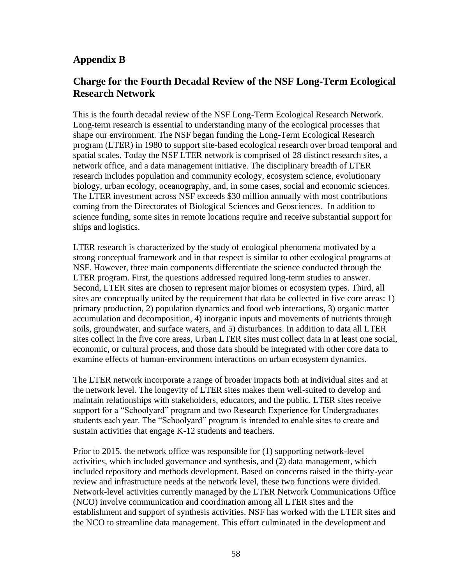## **Appendix B**

## **Charge for the Fourth Decadal Review of the NSF Long-Term Ecological Research Network**

 shape our environment. The NSF began funding the Long-Term Ecological Research biology, urban ecology, oceanography, and, in some cases, social and economic sciences. This is the fourth decadal review of the NSF Long-Term Ecological Research Network. Long-term research is essential to understanding many of the ecological processes that program (LTER) in 1980 to support site-based ecological research over broad temporal and spatial scales. Today the NSF LTER network is comprised of 28 distinct research sites, a network office, and a data management initiative. The disciplinary breadth of LTER research includes population and community ecology, ecosystem science, evolutionary The LTER investment across NSF exceeds \$30 million annually with most contributions coming from the Directorates of Biological Sciences and Geosciences. In addition to science funding, some sites in remote locations require and receive substantial support for ships and logistics.

 sites are conceptually united by the requirement that data be collected in five core areas: 1) sites collect in the five core areas, Urban LTER sites must collect data in at least one social, LTER research is characterized by the study of ecological phenomena motivated by a strong conceptual framework and in that respect is similar to other ecological programs at NSF. However, three main components differentiate the science conducted through the LTER program. First, the questions addressed required long-term studies to answer. Second, LTER sites are chosen to represent major biomes or ecosystem types. Third, all primary production, 2) population dynamics and food web interactions, 3) organic matter accumulation and decomposition, 4) inorganic inputs and movements of nutrients through soils, groundwater, and surface waters, and 5) disturbances. In addition to data all LTER economic, or cultural process, and those data should be integrated with other core data to examine effects of human-environment interactions on urban ecosystem dynamics.

The LTER network incorporate a range of broader impacts both at individual sites and at the network level. The longevity of LTER sites makes them well-suited to develop and maintain relationships with stakeholders, educators, and the public. LTER sites receive support for a "Schoolyard" program and two Research Experience for Undergraduates students each year. The "Schoolyard" program is intended to enable sites to create and sustain activities that engage K-12 students and teachers.

Prior to 2015, the network office was responsible for (1) supporting network-level activities, which included governance and synthesis, and (2) data management, which included repository and methods development. Based on concerns raised in the thirty-year review and infrastructure needs at the network level, these two functions were divided. Network-level activities currently managed by the LTER Network Communications Office (NCO) involve communication and coordination among all LTER sites and the establishment and support of synthesis activities. NSF has worked with the LTER sites and the NCO to streamline data management. This effort culminated in the development and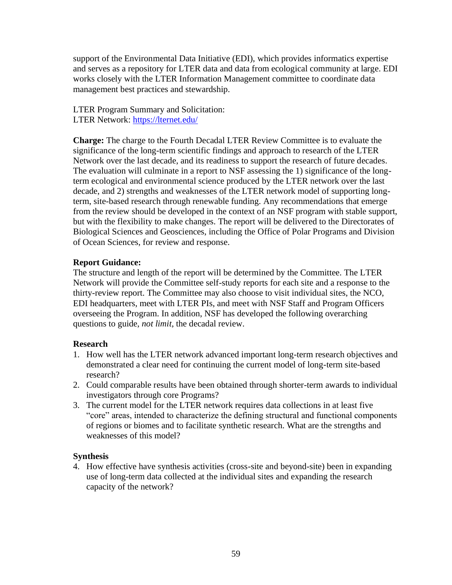support of the Environmental Data Initiative (EDI), which provides informatics expertise and serves as a repository for LTER data and data from ecological community at large. EDI works closely with the LTER Information Management committee to coordinate data management best practices and stewardship.

LTER Program Summary and Solicitation: LTER Network:<https://lternet.edu/>

 **Charge:** The charge to the Fourth Decadal LTER Review Committee is to evaluate the The evaluation will culminate in a report to NSF assessing the 1) significance of the longsignificance of the long-term scientific findings and approach to research of the LTER Network over the last decade, and its readiness to support the research of future decades. term ecological and environmental science produced by the LTER network over the last decade, and 2) strengths and weaknesses of the LTER network model of supporting longterm, site-based research through renewable funding. Any recommendations that emerge from the review should be developed in the context of an NSF program with stable support, but with the flexibility to make changes. The report will be delivered to the Directorates of Biological Sciences and Geosciences, including the Office of Polar Programs and Division of Ocean Sciences, for review and response.

## **Report Guidance:**

The structure and length of the report will be determined by the Committee. The LTER Network will provide the Committee self-study reports for each site and a response to the thirty-review report. The Committee may also choose to visit individual sites, the NCO, EDI headquarters, meet with LTER PIs, and meet with NSF Staff and Program Officers overseeing the Program. In addition, NSF has developed the following overarching questions to guide, *not limit*, the decadal review.

### **Research**

- 1. How well has the LTER network advanced important long-term research objectives and demonstrated a clear need for continuing the current model of long-term site-based research?
- 2. Could comparable results have been obtained through shorter-term awards to individual investigators through core Programs?
- 3. The current model for the LTER network requires data collections in at least five "core" areas, intended to characterize the defining structural and functional components of regions or biomes and to facilitate synthetic research. What are the strengths and weaknesses of this model?

## **Synthesis**

4. How effective have synthesis activities (cross-site and beyond-site) been in expanding use of long-term data collected at the individual sites and expanding the research capacity of the network?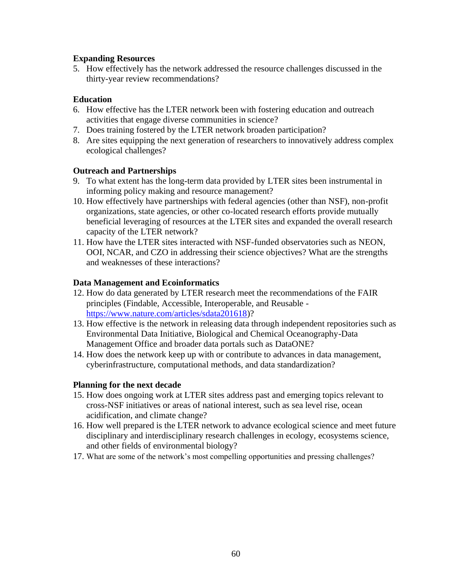## **Expanding Resources**

5. How effectively has the network addressed the resource challenges discussed in the thirty-year review recommendations?

## **Education**

- activities that engage diverse communities in science? 6. How effective has the LTER network been with fostering education and outreach
- 7. Does training fostered by the LTER network broaden participation?
- 8. Are sites equipping the next generation of researchers to innovatively address complex ecological challenges?

## **Outreach and Partnerships**

- 9. To what extent has the long-term data provided by LTER sites been instrumental in informing policy making and resource management?
- beneficial leveraging of resources at the LTER sites and expanded the overall research 10. How effectively have partnerships with federal agencies (other than NSF), non-profit organizations, state agencies, or other co-located research efforts provide mutually capacity of the LTER network?
- 11. How have the LTER sites interacted with NSF-funded observatories such as NEON, OOI, NCAR, and CZO in addressing their science objectives? What are the strengths and weaknesses of these interactions?

### **Data Management and Ecoinformatics**

- [https://www.nature.com/articles/sdata201618\)](https://www.nature.com/articles/sdata201618)? 12. How do data generated by LTER research meet the recommendations of the FAIR principles (Findable, Accessible, Interoperable, and Reusable -
- 13. How effective is the network in releasing data through independent repositories such as Environmental Data Initiative, Biological and Chemical Oceanography-Data Management Office and broader data portals such as DataONE?
- 14. How does the network keep up with or contribute to advances in data management, cyberinfrastructure, computational methods, and data standardization?

### **Planning for the next decade**

- acidification, and climate change? 15. How does ongoing work at LTER sites address past and emerging topics relevant to cross-NSF initiatives or areas of national interest, such as sea level rise, ocean
- 16. How well prepared is the LTER network to advance ecological science and meet future disciplinary and interdisciplinary research challenges in ecology, ecosystems science, and other fields of environmental biology?
- 17. What are some of the network's most compelling opportunities and pressing challenges?